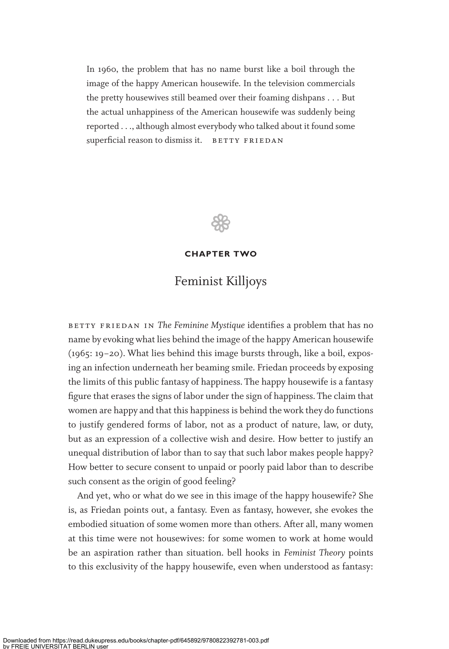In 1960, the problem that has no name burst like a boil through the image of the happy American housewife. In the television commercials the pretty housewives still beamed over their foaming dishpans . . . But the actual unhappiness of the American housewife was suddenly being reported . . ., although almost everybody who talked about it found some superficial reason to dismiss it. BETTY FRIEDAN



**chapter two**

# Feminist Killjoys

Betty Friedan in *The Feminine Mystique* identifies a problem that has no name by evoking what lies behind the image of the happy American housewife (1965: 19–20). What lies behind this image bursts through, like a boil, exposing an infection underneath her beaming smile. Friedan proceeds by exposing the limits of this public fantasy of happiness. The happy housewife is a fantasy figure that erases the signs of labor under the sign of happiness. The claim that women are happy and that this happiness is behind the work they do functions to justify gendered forms of labor, not as a product of nature, law, or duty, but as an expression of a collective wish and desire. How better to justify an unequal distribution of labor than to say that such labor makes people happy? How better to secure consent to unpaid or poorly paid labor than to describe such consent as the origin of good feeling?

And yet, who or what do we see in this image of the happy housewife? She is, as Friedan points out, a fantasy. Even as fantasy, however, she evokes the embodied situation of some women more than others. After all, many women at this time were not housewives: for some women to work at home would be an aspiration rather than situation. bell hooks in *Feminist Theory* points to this exclusivity of the happy housewife, even when understood as fantasy: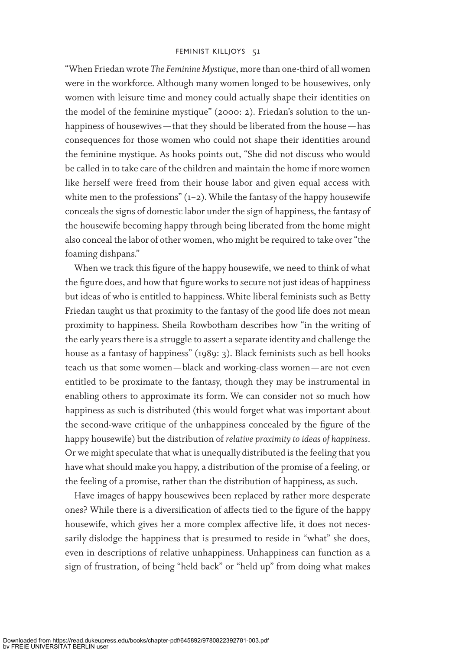## FEMINIST KILLJOYS 51

"When Friedan wrote *The Feminine Mystique*, more than one-third of all women were in the workforce. Although many women longed to be housewives, only women with leisure time and money could actually shape their identities on the model of the feminine mystique" (2000: 2). Friedan's solution to the unhappiness of housewives—that they should be liberated from the house—has consequences for those women who could not shape their identities around the feminine mystique. As hooks points out, "She did not discuss who would be called in to take care of the children and maintain the home if more women like herself were freed from their house labor and given equal access with white men to the professions"  $(1-2)$ . While the fantasy of the happy housewife conceals the signs of domestic labor under the sign of happiness, the fantasy of the housewife becoming happy through being liberated from the home might also conceal the labor of other women, who might be required to take over "the foaming dishpans."

When we track this figure of the happy housewife, we need to think of what the figure does, and how that figure works to secure not just ideas of happiness but ideas of who is entitled to happiness. White liberal feminists such as Betty Friedan taught us that proximity to the fantasy of the good life does not mean proximity to happiness. Sheila Rowbotham describes how "in the writing of the early years there is a struggle to assert a separate identity and challenge the house as a fantasy of happiness" (1989: 3). Black feminists such as bell hooks teach us that some women—black and working-class women—are not even entitled to be proximate to the fantasy, though they may be instrumental in enabling others to approximate its form. We can consider not so much how happiness as such is distributed (this would forget what was important about the second-wave critique of the unhappiness concealed by the figure of the happy housewife) but the distribution of *relative proximity to ideas of happiness*. Or we might speculate that what is unequally distributed is the feeling that you have what should make you happy, a distribution of the promise of a feeling, or the feeling of a promise, rather than the distribution of happiness, as such.

Have images of happy housewives been replaced by rather more desperate ones? While there is a diversification of affects tied to the figure of the happy housewife, which gives her a more complex affective life, it does not necessarily dislodge the happiness that is presumed to reside in "what" she does, even in descriptions of relative unhappiness. Unhappiness can function as a sign of frustration, of being "held back" or "held up" from doing what makes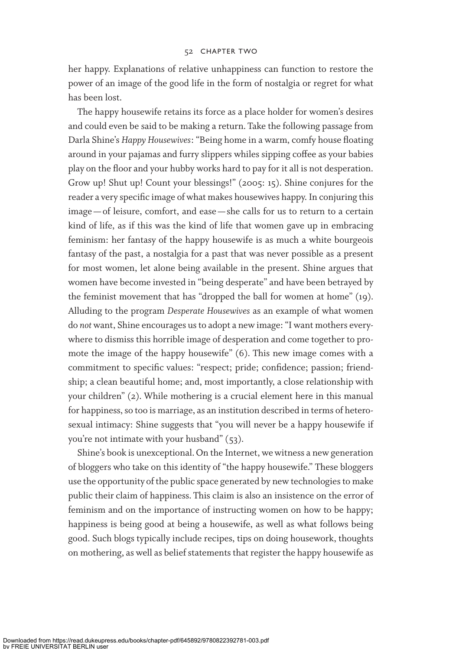her happy. Explanations of relative unhappiness can function to restore the power of an image of the good life in the form of nostalgia or regret for what has been lost.

The happy housewife retains its force as a place holder for women's desires and could even be said to be making a return. Take the following passage from Darla Shine's *Happy Housewives*: "Being home in a warm, comfy house floating around in your pajamas and furry slippers whiles sipping coffee as your babies play on the floor and your hubby works hard to pay for it all is not desperation. Grow up! Shut up! Count your blessings!" (2005: 15). Shine conjures for the reader a very specific image of what makes housewives happy. In conjuring this image—of leisure, comfort, and ease—she calls for us to return to a certain kind of life, as if this was the kind of life that women gave up in embracing feminism: her fantasy of the happy housewife is as much a white bourgeois fantasy of the past, a nostalgia for a past that was never possible as a present for most women, let alone being available in the present. Shine argues that women have become invested in "being desperate" and have been betrayed by the feminist movement that has "dropped the ball for women at home" (19). Alluding to the program *Desperate Housewives* as an example of what women do *not* want, Shine encourages us to adopt a new image: "I want mothers everywhere to dismiss this horrible image of desperation and come together to promote the image of the happy housewife" (6). This new image comes with a commitment to specific values: "respect; pride; confidence; passion; friendship; a clean beautiful home; and, most importantly, a close relationship with your children" (2). While mothering is a crucial element here in this manual for happiness, so too is marriage, as an institution described in terms of heterosexual intimacy: Shine suggests that "you will never be a happy housewife if you're not intimate with your husband" (53).

Shine's book is unexceptional. On the Internet, we witness a new generation of bloggers who take on this identity of "the happy housewife." These bloggers use the opportunity of the public space generated by new technologies to make public their claim of happiness. This claim is also an insistence on the error of feminism and on the importance of instructing women on how to be happy; happiness is being good at being a housewife, as well as what follows being good. Such blogs typically include recipes, tips on doing housework, thoughts on mothering, as well as belief statements that register the happy housewife as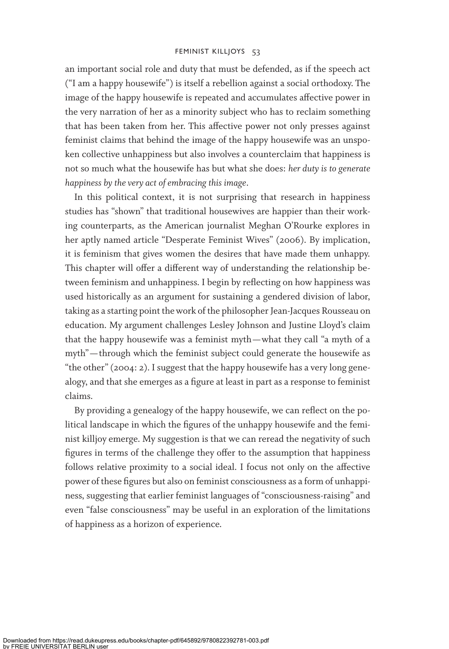an important social role and duty that must be defended, as if the speech act ("I am a happy housewife") is itself a rebellion against a social orthodoxy. The image of the happy housewife is repeated and accumulates affective power in the very narration of her as a minority subject who has to reclaim something that has been taken from her. This affective power not only presses against feminist claims that behind the image of the happy housewife was an unspoken collective unhappiness but also involves a counterclaim that happiness is not so much what the housewife has but what she does: *her duty is to generate happiness by the very act of embracing this image*.

In this political context, it is not surprising that research in happiness studies has "shown" that traditional housewives are happier than their working counterparts, as the American journalist Meghan O'Rourke explores in her aptly named article "Desperate Feminist Wives" (2006). By implication, it is feminism that gives women the desires that have made them unhappy. This chapter will offer a different way of understanding the relationship between feminism and unhappiness. I begin by reflecting on how happiness was used historically as an argument for sustaining a gendered division of labor, taking as a starting point the work of the philosopher Jean-Jacques Rousseau on education. My argument challenges Lesley Johnson and Justine Lloyd's claim that the happy housewife was a feminist myth—what they call "a myth of a myth"—through which the feminist subject could generate the housewife as "the other" (2004: 2). I suggest that the happy housewife has a very long genealogy, and that she emerges as a figure at least in part as a response to feminist claims.

By providing a genealogy of the happy housewife, we can reflect on the political landscape in which the figures of the unhappy housewife and the feminist killjoy emerge. My suggestion is that we can reread the negativity of such figures in terms of the challenge they offer to the assumption that happiness follows relative proximity to a social ideal. I focus not only on the affective power of these figures but also on feminist consciousness as a form of unhappiness, suggesting that earlier feminist languages of "consciousness-raising" and even "false consciousness" may be useful in an exploration of the limitations of happiness as a horizon of experience.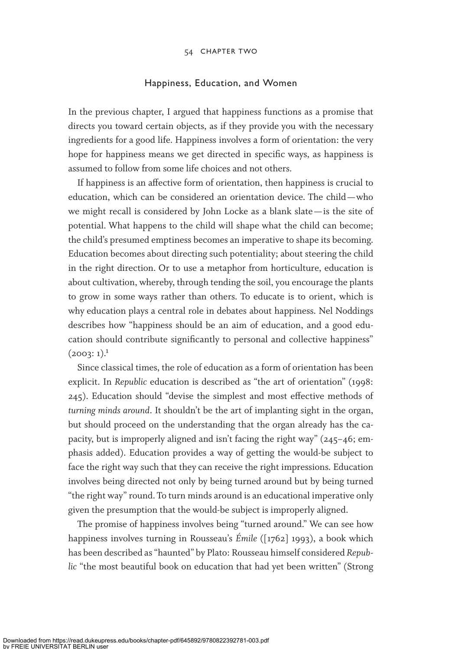## Happiness, Education, and Women

In the previous chapter, I argued that happiness functions as a promise that directs you toward certain objects, as if they provide you with the necessary ingredients for a good life. Happiness involves a form of orientation: the very hope for happiness means we get directed in specific ways, as happiness is assumed to follow from some life choices and not others.

If happiness is an affective form of orientation, then happiness is crucial to education, which can be considered an orientation device. The child—who we might recall is considered by John Locke as a blank slate—is the site of potential. What happens to the child will shape what the child can become; the child's presumed emptiness becomes an imperative to shape its becoming. Education becomes about directing such potentiality; about steering the child in the right direction. Or to use a metaphor from horticulture, education is about cultivation, whereby, through tending the soil, you encourage the plants to grow in some ways rather than others. To educate is to orient, which is why education plays a central role in debates about happiness. Nel Noddings describes how "happiness should be an aim of education, and a good education should contribute significantly to personal and collective happiness"  $(2003:1).<sup>1</sup>$ 

Since classical times, the role of education as a form of orientation has been explicit. In *Republic* education is described as "the art of orientation" (1998: 245). Education should "devise the simplest and most effective methods of *turning minds around*. It shouldn't be the art of implanting sight in the organ, but should proceed on the understanding that the organ already has the capacity, but is improperly aligned and isn't facing the right way" (245–46; emphasis added). Education provides a way of getting the would-be subject to face the right way such that they can receive the right impressions. Education involves being directed not only by being turned around but by being turned "the right way" round. To turn minds around is an educational imperative only given the presumption that the would-be subject is improperly aligned.

The promise of happiness involves being "turned around." We can see how happiness involves turning in Rousseau's *Émile* ([1762] 1993), a book which has been described as "haunted" by Plato: Rousseau himself considered *Republic* "the most beautiful book on education that had yet been written" (Strong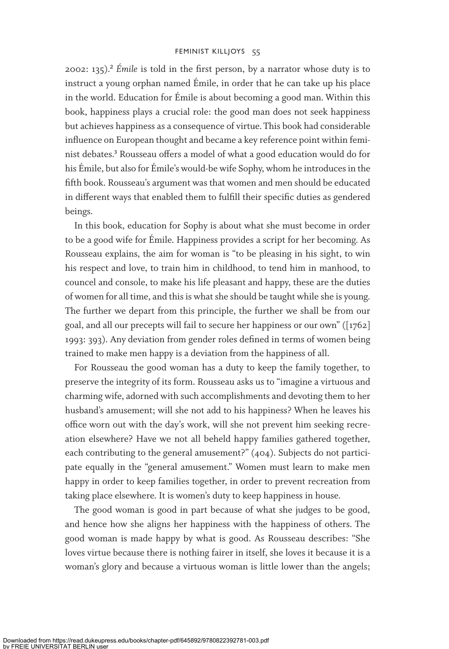2002: 135).2 *Émile* is told in the first person, by a narrator whose duty is to instruct a young orphan named Émile, in order that he can take up his place in the world. Education for Émile is about becoming a good man. Within this book, happiness plays a crucial role: the good man does not seek happiness but achieves happiness as a consequence of virtue. This book had considerable influence on European thought and became a key reference point within feminist debates.3 Rousseau offers a model of what a good education would do for his Émile, but also for Émile's would-be wife Sophy, whom he introduces in the fifth book. Rousseau's argument was that women and men should be educated in different ways that enabled them to fulfill their specific duties as gendered beings.

In this book, education for Sophy is about what she must become in order to be a good wife for Émile. Happiness provides a script for her becoming. As Rousseau explains, the aim for woman is "to be pleasing in his sight, to win his respect and love, to train him in childhood, to tend him in manhood, to councel and console, to make his life pleasant and happy, these are the duties of women for all time, and this is what she should be taught while she is young. The further we depart from this principle, the further we shall be from our goal, and all our precepts will fail to secure her happiness or our own" ([1762] 1993: 393). Any deviation from gender roles defined in terms of women being trained to make men happy is a deviation from the happiness of all.

For Rousseau the good woman has a duty to keep the family together, to preserve the integrity of its form. Rousseau asks us to "imagine a virtuous and charming wife, adorned with such accomplishments and devoting them to her husband's amusement; will she not add to his happiness? When he leaves his office worn out with the day's work, will she not prevent him seeking recreation elsewhere? Have we not all beheld happy families gathered together, each contributing to the general amusement?" (404). Subjects do not participate equally in the "general amusement." Women must learn to make men happy in order to keep families together, in order to prevent recreation from taking place elsewhere. It is women's duty to keep happiness in house.

The good woman is good in part because of what she judges to be good, and hence how she aligns her happiness with the happiness of others. The good woman is made happy by what is good. As Rousseau describes: "She loves virtue because there is nothing fairer in itself, she loves it because it is a woman's glory and because a virtuous woman is little lower than the angels;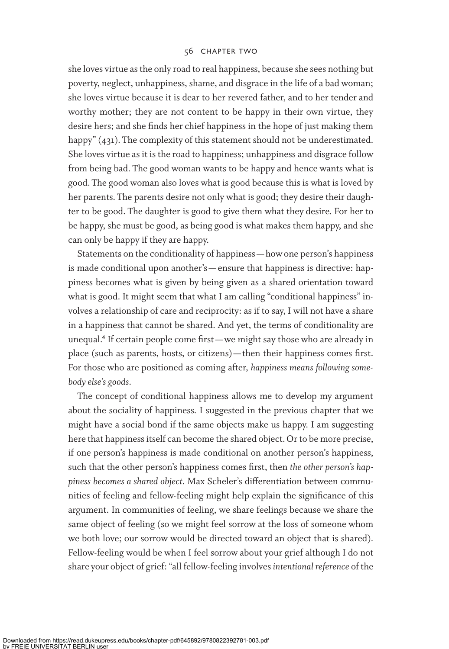she loves virtue as the only road to real happiness, because she sees nothing but poverty, neglect, unhappiness, shame, and disgrace in the life of a bad woman; she loves virtue because it is dear to her revered father, and to her tender and worthy mother; they are not content to be happy in their own virtue, they desire hers; and she finds her chief happiness in the hope of just making them happy" (431). The complexity of this statement should not be underestimated. She loves virtue as it is the road to happiness; unhappiness and disgrace follow from being bad. The good woman wants to be happy and hence wants what is good. The good woman also loves what is good because this is what is loved by her parents. The parents desire not only what is good; they desire their daughter to be good. The daughter is good to give them what they desire. For her to be happy, she must be good, as being good is what makes them happy, and she can only be happy if they are happy.

Statements on the conditionality of happiness—how one person's happiness is made conditional upon another's—ensure that happiness is directive: happiness becomes what is given by being given as a shared orientation toward what is good. It might seem that what I am calling "conditional happiness" involves a relationship of care and reciprocity: as if to say, I will not have a share in a happiness that cannot be shared. And yet, the terms of conditionality are unequal.4 If certain people come first—we might say those who are already in place (such as parents, hosts, or citizens)—then their happiness comes first. For those who are positioned as coming after, *happiness means following somebody else's goods*.

The concept of conditional happiness allows me to develop my argument about the sociality of happiness. I suggested in the previous chapter that we might have a social bond if the same objects make us happy. I am suggesting here that happiness itself can become the shared object. Or to be more precise, if one person's happiness is made conditional on another person's happiness, such that the other person's happiness comes first, then *the other person's happiness becomes a shared object*. Max Scheler's differentiation between communities of feeling and fellow-feeling might help explain the significance of this argument. In communities of feeling, we share feelings because we share the same object of feeling (so we might feel sorrow at the loss of someone whom we both love; our sorrow would be directed toward an object that is shared). Fellow-feeling would be when I feel sorrow about your grief although I do not share your object of grief: "all fellow-feeling involves *intentional reference* of the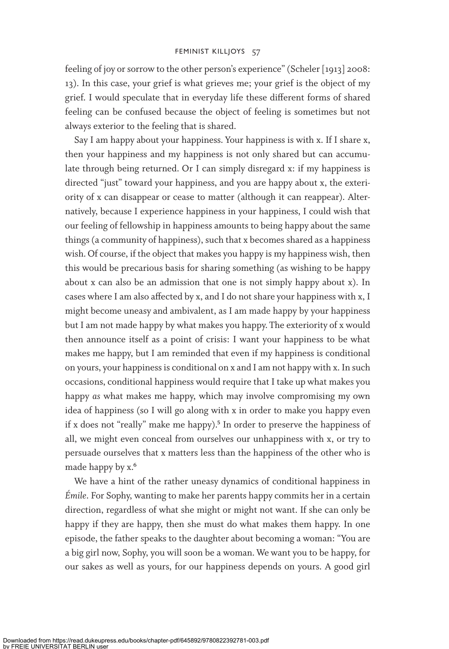feeling of joy or sorrow to the other person's experience" (Scheler [1913] 2008: 13). In this case, your grief is what grieves me; your grief is the object of my grief. I would speculate that in everyday life these different forms of shared feeling can be confused because the object of feeling is sometimes but not always exterior to the feeling that is shared.

Say I am happy about your happiness. Your happiness is with x. If I share x, then your happiness and my happiness is not only shared but can accumulate through being returned. Or I can simply disregard x: if my happiness is directed "just" toward your happiness, and you are happy about x, the exteriority of x can disappear or cease to matter (although it can reappear). Alternatively, because I experience happiness in your happiness, I could wish that our feeling of fellowship in happiness amounts to being happy about the same things (a community of happiness), such that x becomes shared as a happiness wish. Of course, if the object that makes you happy is my happiness wish, then this would be precarious basis for sharing something (as wishing to be happy about x can also be an admission that one is not simply happy about x). In cases where I am also affected by x, and I do not share your happiness with x, I might become uneasy and ambivalent, as I am made happy by your happiness but I am not made happy by what makes you happy. The exteriority of x would then announce itself as a point of crisis: I want your happiness to be what makes me happy, but I am reminded that even if my happiness is conditional on yours, your happiness is conditional on x and I am not happy with x. In such occasions, conditional happiness would require that I take up what makes you happy *as* what makes me happy, which may involve compromising my own idea of happiness (so I will go along with x in order to make you happy even if x does not "really" make me happy).<sup>5</sup> In order to preserve the happiness of all, we might even conceal from ourselves our unhappiness with x, or try to persuade ourselves that x matters less than the happiness of the other who is made happy by x.<sup>6</sup>

We have a hint of the rather uneasy dynamics of conditional happiness in *Émile*. For Sophy, wanting to make her parents happy commits her in a certain direction, regardless of what she might or might not want. If she can only be happy if they are happy, then she must do what makes them happy. In one episode, the father speaks to the daughter about becoming a woman: "You are a big girl now, Sophy, you will soon be a woman. We want you to be happy, for our sakes as well as yours, for our happiness depends on yours. A good girl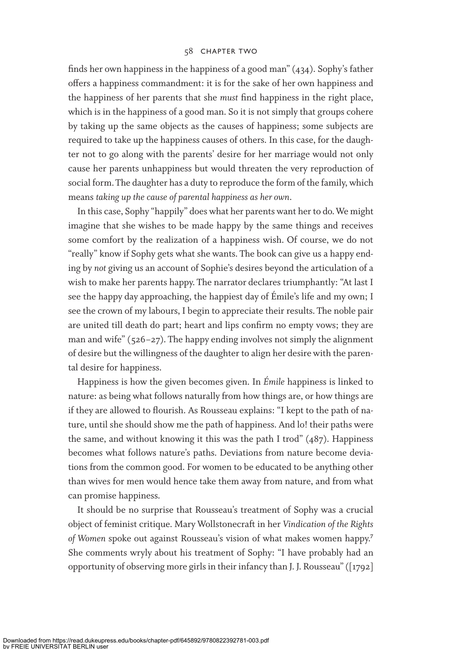finds her own happiness in the happiness of a good man" (434). Sophy's father offers a happiness commandment: it is for the sake of her own happiness and the happiness of her parents that she *must* find happiness in the right place, which is in the happiness of a good man. So it is not simply that groups cohere by taking up the same objects as the causes of happiness; some subjects are required to take up the happiness causes of others. In this case, for the daughter not to go along with the parents' desire for her marriage would not only cause her parents unhappiness but would threaten the very reproduction of social form. The daughter has a duty to reproduce the form of the family, which means *taking up the cause of parental happiness as her own*.

In this case, Sophy "happily" does what her parents want her to do. We might imagine that she wishes to be made happy by the same things and receives some comfort by the realization of a happiness wish. Of course, we do not "really" know if Sophy gets what she wants. The book can give us a happy ending by *not* giving us an account of Sophie's desires beyond the articulation of a wish to make her parents happy. The narrator declares triumphantly: "At last I see the happy day approaching, the happiest day of Émile's life and my own; I see the crown of my labours, I begin to appreciate their results. The noble pair are united till death do part; heart and lips confirm no empty vows; they are man and wife" (526–27). The happy ending involves not simply the alignment of desire but the willingness of the daughter to align her desire with the parental desire for happiness.

Happiness is how the given becomes given. In *Émile* happiness is linked to nature: as being what follows naturally from how things are, or how things are if they are allowed to flourish. As Rousseau explains: "I kept to the path of nature, until she should show me the path of happiness. And lo! their paths were the same, and without knowing it this was the path I trod"  $(487)$ . Happiness becomes what follows nature's paths. Deviations from nature become deviations from the common good. For women to be educated to be anything other than wives for men would hence take them away from nature, and from what can promise happiness.

It should be no surprise that Rousseau's treatment of Sophy was a crucial object of feminist critique. Mary Wollstonecraft in her *Vindication of the Rights of Women* spoke out against Rousseau's vision of what makes women happy.7 She comments wryly about his treatment of Sophy: "I have probably had an opportunity of observing more girls in their infancy than J. J. Rousseau" ([1792]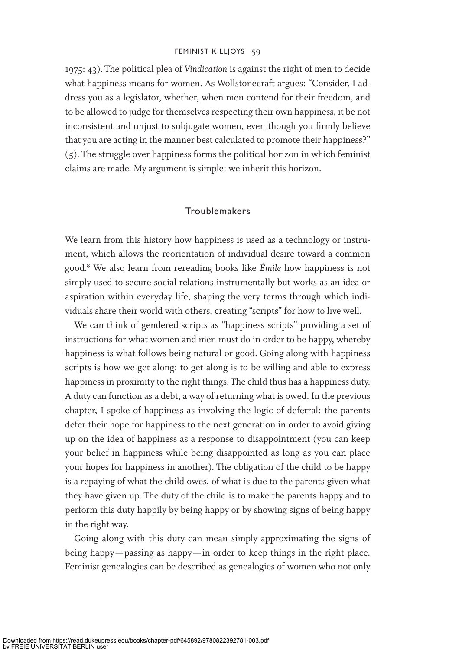1975: 43). The political plea of *Vindication* is against the right of men to decide what happiness means for women. As Wollstonecraft argues: "Consider, I address you as a legislator, whether, when men contend for their freedom, and to be allowed to judge for themselves respecting their own happiness, it be not inconsistent and unjust to subjugate women, even though you firmly believe that you are acting in the manner best calculated to promote their happiness?" (5). The struggle over happiness forms the political horizon in which feminist claims are made. My argument is simple: we inherit this horizon.

# Troublemakers

We learn from this history how happiness is used as a technology or instrument, which allows the reorientation of individual desire toward a common good.8 We also learn from rereading books like *Émile* how happiness is not simply used to secure social relations instrumentally but works as an idea or aspiration within everyday life, shaping the very terms through which individuals share their world with others, creating "scripts" for how to live well.

We can think of gendered scripts as "happiness scripts" providing a set of instructions for what women and men must do in order to be happy, whereby happiness is what follows being natural or good. Going along with happiness scripts is how we get along: to get along is to be willing and able to express happiness in proximity to the right things. The child thus has a happiness duty. A duty can function as a debt, a way of returning what is owed. In the previous chapter, I spoke of happiness as involving the logic of deferral: the parents defer their hope for happiness to the next generation in order to avoid giving up on the idea of happiness as a response to disappointment (you can keep your belief in happiness while being disappointed as long as you can place your hopes for happiness in another). The obligation of the child to be happy is a repaying of what the child owes, of what is due to the parents given what they have given up. The duty of the child is to make the parents happy and to perform this duty happily by being happy or by showing signs of being happy in the right way.

Going along with this duty can mean simply approximating the signs of being happy—passing as happy—in order to keep things in the right place. Feminist genealogies can be described as genealogies of women who not only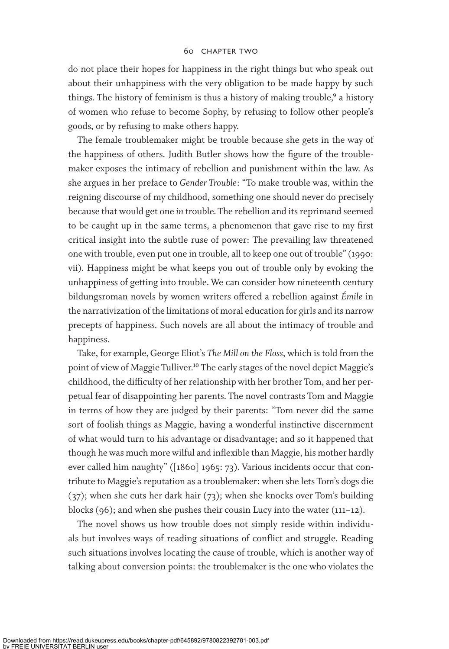do not place their hopes for happiness in the right things but who speak out about their unhappiness with the very obligation to be made happy by such things. The history of feminism is thus a history of making trouble,<sup>9</sup> a history of women who refuse to become Sophy, by refusing to follow other people's goods, or by refusing to make others happy.

The female troublemaker might be trouble because she gets in the way of the happiness of others. Judith Butler shows how the figure of the troublemaker exposes the intimacy of rebellion and punishment within the law. As she argues in her preface to *Gender Trouble*: "To make trouble was, within the reigning discourse of my childhood, something one should never do precisely because that would get one *in* trouble. The rebellion and its reprimand seemed to be caught up in the same terms, a phenomenon that gave rise to my first critical insight into the subtle ruse of power: The prevailing law threatened one with trouble, even put one in trouble, all to keep one out of trouble" (1990: vii). Happiness might be what keeps you out of trouble only by evoking the unhappiness of getting into trouble. We can consider how nineteenth century bildungsroman novels by women writers offered a rebellion against *Émile* in the narrativization of the limitations of moral education for girls and its narrow precepts of happiness. Such novels are all about the intimacy of trouble and happiness.

Take, for example, George Eliot's *The Mill on the Floss*, which is told from the point of view of Maggie Tulliver.<sup>10</sup> The early stages of the novel depict Maggie's childhood, the difficulty of her relationship with her brother Tom, and her perpetual fear of disappointing her parents. The novel contrasts Tom and Maggie in terms of how they are judged by their parents: "Tom never did the same sort of foolish things as Maggie, having a wonderful instinctive discernment of what would turn to his advantage or disadvantage; and so it happened that though he was much more wilful and inflexible than Maggie, his mother hardly ever called him naughty" ([1860] 1965: 73). Various incidents occur that contribute to Maggie's reputation as a troublemaker: when she lets Tom's dogs die (37); when she cuts her dark hair (73); when she knocks over Tom's building blocks (96); and when she pushes their cousin Lucy into the water (111–12).

The novel shows us how trouble does not simply reside within individuals but involves ways of reading situations of conflict and struggle. Reading such situations involves locating the cause of trouble, which is another way of talking about conversion points: the troublemaker is the one who violates the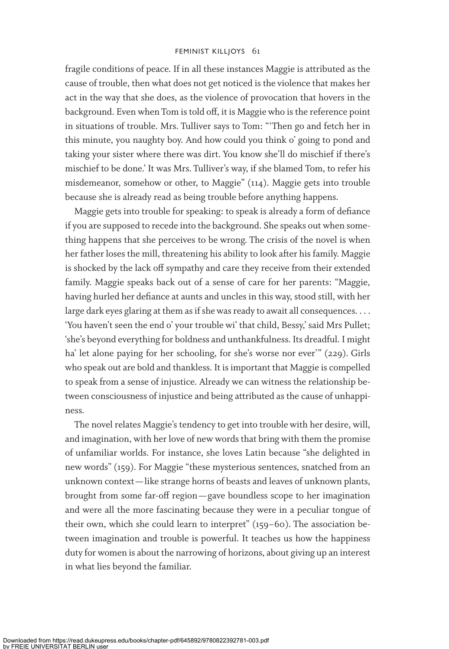fragile conditions of peace. If in all these instances Maggie is attributed as the cause of trouble, then what does not get noticed is the violence that makes her act in the way that she does, as the violence of provocation that hovers in the background. Even when Tom is told off, it is Maggie who is the reference point in situations of trouble. Mrs. Tulliver says to Tom: "'Then go and fetch her in this minute, you naughty boy. And how could you think o' going to pond and taking your sister where there was dirt. You know she'll do mischief if there's mischief to be done.' It was Mrs. Tulliver's way, if she blamed Tom, to refer his misdemeanor, somehow or other, to Maggie" (114). Maggie gets into trouble because she is already read as being trouble before anything happens.

Maggie gets into trouble for speaking: to speak is already a form of defiance if you are supposed to recede into the background. She speaks out when something happens that she perceives to be wrong. The crisis of the novel is when her father loses the mill, threatening his ability to look after his family. Maggie is shocked by the lack off sympathy and care they receive from their extended family. Maggie speaks back out of a sense of care for her parents: "Maggie, having hurled her defiance at aunts and uncles in this way, stood still, with her large dark eyes glaring at them as if she was ready to await all consequences. . . . 'You haven't seen the end o' your trouble wi' that child, Bessy,' said Mrs Pullet; 'she's beyond everything for boldness and unthankfulness. Its dreadful. I might ha' let alone paying for her schooling, for she's worse nor ever'" (229). Girls who speak out are bold and thankless. It is important that Maggie is compelled to speak from a sense of injustice. Already we can witness the relationship between consciousness of injustice and being attributed as the cause of unhappiness.

The novel relates Maggie's tendency to get into trouble with her desire, will, and imagination, with her love of new words that bring with them the promise of unfamiliar worlds. For instance, she loves Latin because "she delighted in new words" (159). For Maggie "these mysterious sentences, snatched from an unknown context—like strange horns of beasts and leaves of unknown plants, brought from some far-off region—gave boundless scope to her imagination and were all the more fascinating because they were in a peculiar tongue of their own, which she could learn to interpret" (159–60). The association between imagination and trouble is powerful. It teaches us how the happiness duty for women is about the narrowing of horizons, about giving up an interest in what lies beyond the familiar.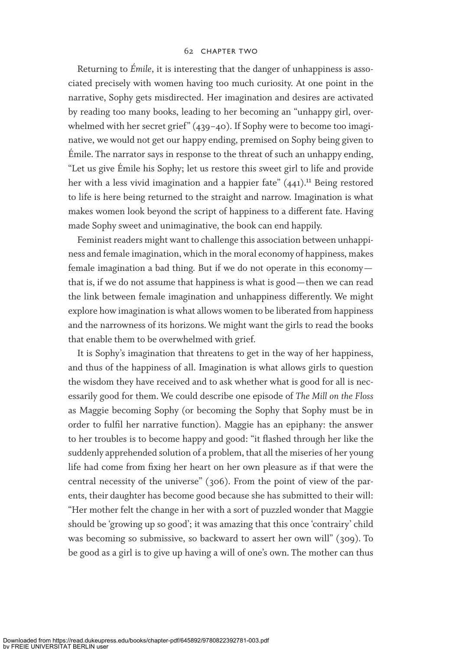Returning to *Émile*, it is interesting that the danger of unhappiness is associated precisely with women having too much curiosity. At one point in the narrative, Sophy gets misdirected. Her imagination and desires are activated by reading too many books, leading to her becoming an "unhappy girl, overwhelmed with her secret grief" (439–40). If Sophy were to become too imaginative, we would not get our happy ending, premised on Sophy being given to Émile. The narrator says in response to the threat of such an unhappy ending, "Let us give Émile his Sophy; let us restore this sweet girl to life and provide her with a less vivid imagination and a happier fate"  $(441)$ .<sup>11</sup> Being restored to life is here being returned to the straight and narrow. Imagination is what makes women look beyond the script of happiness to a different fate. Having made Sophy sweet and unimaginative, the book can end happily.

Feminist readers might want to challenge this association between unhappiness and female imagination, which in the moral economy of happiness, makes female imagination a bad thing. But if we do not operate in this economy that is, if we do not assume that happiness is what is good—then we can read the link between female imagination and unhappiness differently. We might explore how imagination is what allows women to be liberated from happiness and the narrowness of its horizons. We might want the girls to read the books that enable them to be overwhelmed with grief.

It is Sophy's imagination that threatens to get in the way of her happiness, and thus of the happiness of all. Imagination is what allows girls to question the wisdom they have received and to ask whether what is good for all is necessarily good for them. We could describe one episode of *The Mill on the Floss* as Maggie becoming Sophy (or becoming the Sophy that Sophy must be in order to fulfil her narrative function). Maggie has an epiphany: the answer to her troubles is to become happy and good: "it flashed through her like the suddenly apprehended solution of a problem, that all the miseries of her young life had come from fixing her heart on her own pleasure as if that were the central necessity of the universe" (306). From the point of view of the parents, their daughter has become good because she has submitted to their will: "Her mother felt the change in her with a sort of puzzled wonder that Maggie should be 'growing up so good'; it was amazing that this once 'contrairy' child was becoming so submissive, so backward to assert her own will" (309). To be good as a girl is to give up having a will of one's own. The mother can thus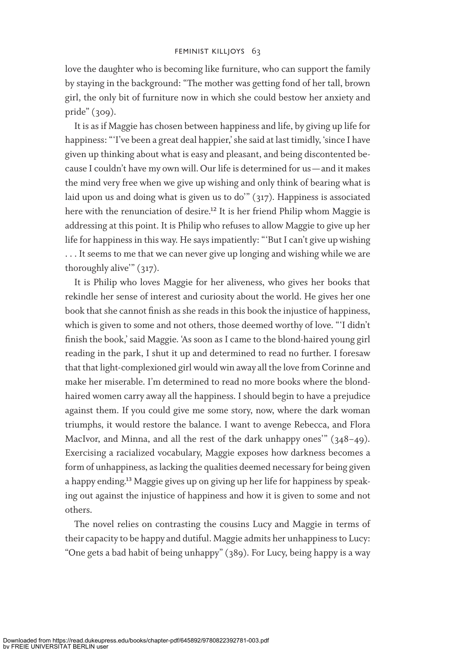love the daughter who is becoming like furniture, who can support the family by staying in the background: "The mother was getting fond of her tall, brown girl, the only bit of furniture now in which she could bestow her anxiety and pride" (309).

It is as if Maggie has chosen between happiness and life, by giving up life for happiness: "'I've been a great deal happier,' she said at last timidly, 'since I have given up thinking about what is easy and pleasant, and being discontented because I couldn't have my own will. Our life is determined for us—and it makes the mind very free when we give up wishing and only think of bearing what is laid upon us and doing what is given us to do'" (317). Happiness is associated here with the renunciation of desire.<sup>12</sup> It is her friend Philip whom Maggie is addressing at this point. It is Philip who refuses to allow Maggie to give up her life for happiness in this way. He says impatiently: "'But I can't give up wishing . . . It seems to me that we can never give up longing and wishing while we are thoroughly alive'" (317).

It is Philip who loves Maggie for her aliveness, who gives her books that rekindle her sense of interest and curiosity about the world. He gives her one book that she cannot finish as she reads in this book the injustice of happiness, which is given to some and not others, those deemed worthy of love. "'I didn't finish the book,' said Maggie. 'As soon as I came to the blond-haired young girl reading in the park, I shut it up and determined to read no further. I foresaw that that light-complexioned girl would win away all the love from Corinne and make her miserable. I'm determined to read no more books where the blondhaired women carry away all the happiness. I should begin to have a prejudice against them. If you could give me some story, now, where the dark woman triumphs, it would restore the balance. I want to avenge Rebecca, and Flora MacIvor, and Minna, and all the rest of the dark unhappy ones'" (348–49). Exercising a racialized vocabulary, Maggie exposes how darkness becomes a form of unhappiness, as lacking the qualities deemed necessary for being given a happy ending.13 Maggie gives up on giving up her life for happiness by speaking out against the injustice of happiness and how it is given to some and not others.

The novel relies on contrasting the cousins Lucy and Maggie in terms of their capacity to be happy and dutiful. Maggie admits her unhappiness to Lucy: "One gets a bad habit of being unhappy" (389). For Lucy, being happy is a way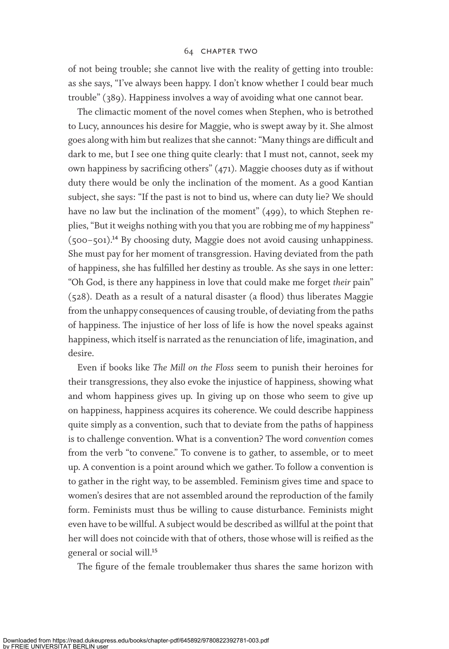of not being trouble; she cannot live with the reality of getting into trouble: as she says, "I've always been happy. I don't know whether I could bear much trouble" (389). Happiness involves a way of avoiding what one cannot bear.

The climactic moment of the novel comes when Stephen, who is betrothed to Lucy, announces his desire for Maggie, who is swept away by it. She almost goes along with him but realizes that she cannot: "Many things are difficult and dark to me, but I see one thing quite clearly: that I must not, cannot, seek my own happiness by sacrificing others" (471). Maggie chooses duty as if without duty there would be only the inclination of the moment. As a good Kantian subject, she says: "If the past is not to bind us, where can duty lie? We should have no law but the inclination of the moment" (499), to which Stephen replies, "But it weighs nothing with you that you are robbing me of *my* happiness" (500–501).14 By choosing duty, Maggie does not avoid causing unhappiness. She must pay for her moment of transgression. Having deviated from the path of happiness, she has fulfilled her destiny as trouble. As she says in one letter: "Oh God, is there any happiness in love that could make me forget *their* pain" (528). Death as a result of a natural disaster (a flood) thus liberates Maggie from the unhappy consequences of causing trouble, of deviating from the paths of happiness. The injustice of her loss of life is how the novel speaks against happiness, which itself is narrated as the renunciation of life, imagination, and desire.

Even if books like *The Mill on the Floss* seem to punish their heroines for their transgressions, they also evoke the injustice of happiness, showing what and whom happiness gives up. In giving up on those who seem to give up on happiness, happiness acquires its coherence. We could describe happiness quite simply as a convention, such that to deviate from the paths of happiness is to challenge convention. What is a convention? The word *convention* comes from the verb "to convene." To convene is to gather, to assemble, or to meet up. A convention is a point around which we gather. To follow a convention is to gather in the right way, to be assembled. Feminism gives time and space to women's desires that are not assembled around the reproduction of the family form. Feminists must thus be willing to cause disturbance. Feminists might even have to be willful. A subject would be described as willful at the point that her will does not coincide with that of others, those whose will is reified as the general or social will.15

The figure of the female troublemaker thus shares the same horizon with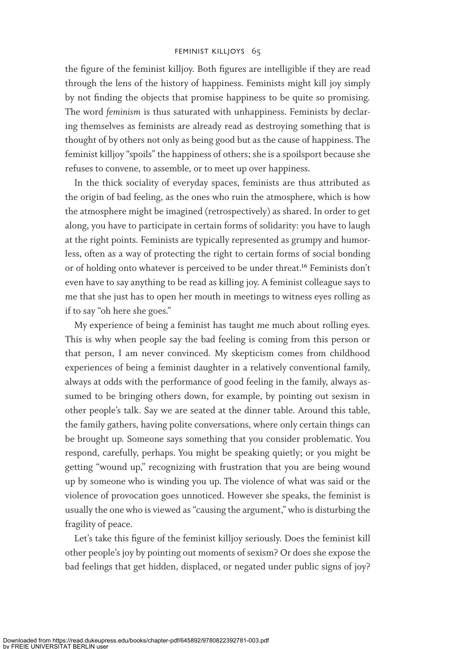the figure of the feminist killjoy. Both figures are intelligible if they are read through the lens of the history of happiness. Feminists might kill joy simply by not finding the objects that promise happiness to be quite so promising. The word *feminism* is thus saturated with unhappiness. Feminists by declaring themselves as feminists are already read as destroying something that is thought of by others not only as being good but as the cause of happiness. The feminist killjoy "spoils" the happiness of others; she is a spoilsport because she refuses to convene, to assemble, or to meet up over happiness.

In the thick sociality of everyday spaces, feminists are thus attributed as the origin of bad feeling, as the ones who ruin the atmosphere, which is how the atmosphere might be imagined (retrospectively) as shared. In order to get along, you have to participate in certain forms of solidarity: you have to laugh at the right points. Feminists are typically represented as grumpy and humorless, often as a way of protecting the right to certain forms of social bonding or of holding onto whatever is perceived to be under threat.<sup>16</sup> Feminists don't even have to say anything to be read as killing joy. A feminist colleague says to me that she just has to open her mouth in meetings to witness eyes rolling as if to say "oh here she goes."

My experience of being a feminist has taught me much about rolling eyes. This is why when people say the bad feeling is coming from this person or that person, I am never convinced. My skepticism comes from childhood experiences of being a feminist daughter in a relatively conventional family, always at odds with the performance of good feeling in the family, always assumed to be bringing others down, for example, by pointing out sexism in other people's talk. Say we are seated at the dinner table. Around this table, the family gathers, having polite conversations, where only certain things can be brought up. Someone says something that you consider problematic. You respond, carefully, perhaps. You might be speaking quietly; or you might be getting "wound up," recognizing with frustration that you are being wound up by someone who is winding you up. The violence of what was said or the violence of provocation goes unnoticed. However she speaks, the feminist is usually the one who is viewed as "causing the argument," who is disturbing the fragility of peace.

Let's take this figure of the feminist killjoy seriously. Does the feminist kill other people's joy by pointing out moments of sexism? Or does she expose the bad feelings that get hidden, displaced, or negated under public signs of joy?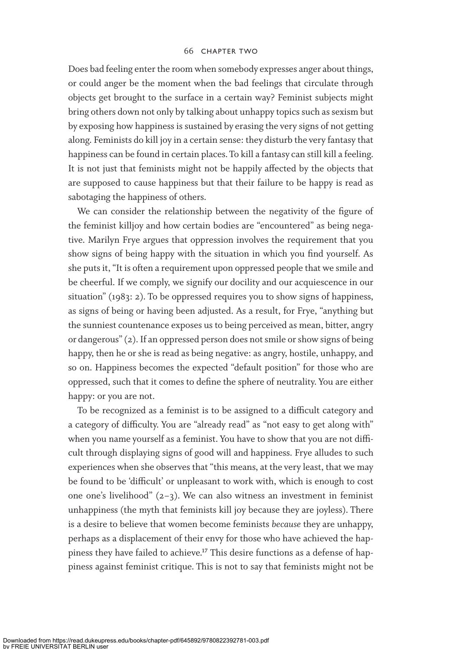Does bad feeling enter the room when somebody expresses anger about things, or could anger be the moment when the bad feelings that circulate through objects get brought to the surface in a certain way? Feminist subjects might bring others down not only by talking about unhappy topics such as sexism but by exposing how happiness is sustained by erasing the very signs of not getting along. Feminists do kill joy in a certain sense: they disturb the very fantasy that happiness can be found in certain places. To kill a fantasy can still kill a feeling. It is not just that feminists might not be happily affected by the objects that are supposed to cause happiness but that their failure to be happy is read as sabotaging the happiness of others.

We can consider the relationship between the negativity of the figure of the feminist killjoy and how certain bodies are "encountered" as being negative. Marilyn Frye argues that oppression involves the requirement that you show signs of being happy with the situation in which you find yourself. As she puts it, "It is often a requirement upon oppressed people that we smile and be cheerful. If we comply, we signify our docility and our acquiescence in our situation" (1983: 2). To be oppressed requires you to show signs of happiness, as signs of being or having been adjusted. As a result, for Frye, "anything but the sunniest countenance exposes us to being perceived as mean, bitter, angry or dangerous" (2). If an oppressed person does not smile or show signs of being happy, then he or she is read as being negative: as angry, hostile, unhappy, and so on. Happiness becomes the expected "default position" for those who are oppressed, such that it comes to define the sphere of neutrality. You are either happy: or you are not.

To be recognized as a feminist is to be assigned to a difficult category and a category of difficulty. You are "already read" as "not easy to get along with" when you name yourself as a feminist. You have to show that you are not difficult through displaying signs of good will and happiness. Frye alludes to such experiences when she observes that "this means, at the very least, that we may be found to be 'difficult' or unpleasant to work with, which is enough to cost one one's livelihood"  $(2-3)$ . We can also witness an investment in feminist unhappiness (the myth that feminists kill joy because they are joyless). There is a desire to believe that women become feminists *because* they are unhappy, perhaps as a displacement of their envy for those who have achieved the happiness they have failed to achieve.<sup>17</sup> This desire functions as a defense of happiness against feminist critique. This is not to say that feminists might not be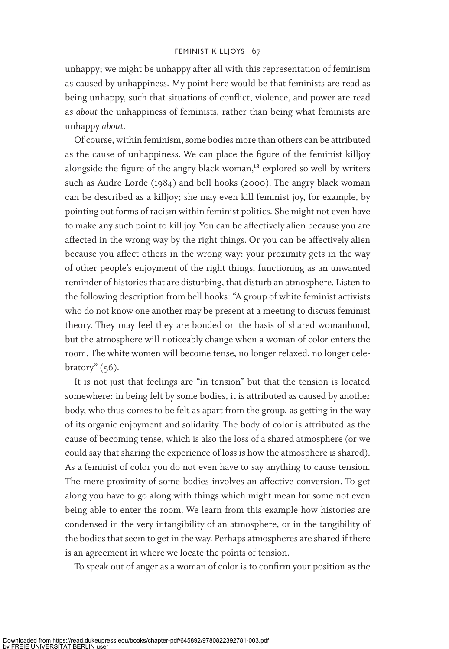unhappy; we might be unhappy after all with this representation of feminism as caused by unhappiness. My point here would be that feminists are read as being unhappy, such that situations of conflict, violence, and power are read as *about* the unhappiness of feminists, rather than being what feminists are unhappy *about*.

Of course, within feminism, some bodies more than others can be attributed as the cause of unhappiness. We can place the figure of the feminist killjoy alongside the figure of the angry black woman,<sup>18</sup> explored so well by writers such as Audre Lorde (1984) and bell hooks (2000). The angry black woman can be described as a killjoy; she may even kill feminist joy, for example, by pointing out forms of racism within feminist politics. She might not even have to make any such point to kill joy. You can be affectively alien because you are affected in the wrong way by the right things. Or you can be affectively alien because you affect others in the wrong way: your proximity gets in the way of other people's enjoyment of the right things, functioning as an unwanted reminder of histories that are disturbing, that disturb an atmosphere. Listen to the following description from bell hooks: "A group of white feminist activists who do not know one another may be present at a meeting to discuss feminist theory. They may feel they are bonded on the basis of shared womanhood, but the atmosphere will noticeably change when a woman of color enters the room. The white women will become tense, no longer relaxed, no longer celebratory"  $(56)$ .

It is not just that feelings are "in tension" but that the tension is located somewhere: in being felt by some bodies, it is attributed as caused by another body, who thus comes to be felt as apart from the group, as getting in the way of its organic enjoyment and solidarity. The body of color is attributed as the cause of becoming tense, which is also the loss of a shared atmosphere (or we could say that sharing the experience of loss is how the atmosphere is shared). As a feminist of color you do not even have to say anything to cause tension. The mere proximity of some bodies involves an affective conversion. To get along you have to go along with things which might mean for some not even being able to enter the room. We learn from this example how histories are condensed in the very intangibility of an atmosphere, or in the tangibility of the bodies that seem to get in the way. Perhaps atmospheres are shared if there is an agreement in where we locate the points of tension.

To speak out of anger as a woman of color is to confirm your position as the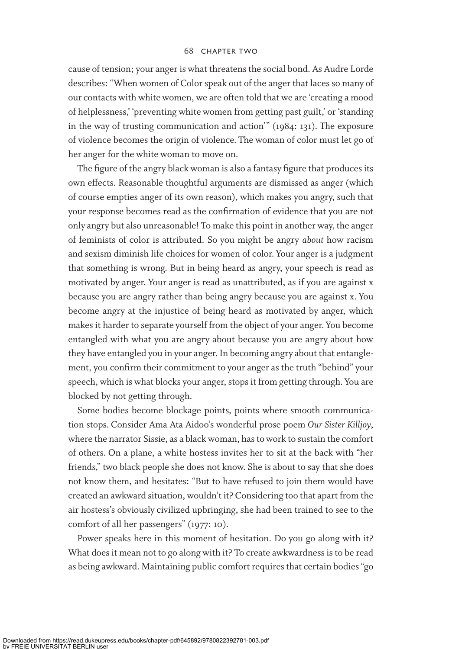cause of tension; your anger is what threatens the social bond. As Audre Lorde describes: "When women of Color speak out of the anger that laces so many of our contacts with white women, we are often told that we are 'creating a mood of helplessness,' 'preventing white women from getting past guilt,' or 'standing in the way of trusting communication and action'" (1984: 131). The exposure of violence becomes the origin of violence. The woman of color must let go of her anger for the white woman to move on.

The figure of the angry black woman is also a fantasy figure that produces its own effects. Reasonable thoughtful arguments are dismissed as anger (which of course empties anger of its own reason), which makes you angry, such that your response becomes read as the confirmation of evidence that you are not only angry but also unreasonable! To make this point in another way, the anger of feminists of color is attributed. So you might be angry *about* how racism and sexism diminish life choices for women of color. Your anger is a judgment that something is wrong. But in being heard as angry, your speech is read as motivated by anger. Your anger is read as unattributed, as if you are against x because you are angry rather than being angry because you are against x. You become angry at the injustice of being heard as motivated by anger, which makes it harder to separate yourself from the object of your anger. You become entangled with what you are angry about because you are angry about how they have entangled you in your anger. In becoming angry about that entanglement, you confirm their commitment to your anger as the truth "behind" your speech, which is what blocks your anger, stops it from getting through. You are blocked by not getting through.

Some bodies become blockage points, points where smooth communication stops. Consider Ama Ata Aidoo's wonderful prose poem *Our Sister Killjoy*, where the narrator Sissie, as a black woman, has to work to sustain the comfort of others. On a plane, a white hostess invites her to sit at the back with "her friends," two black people she does not know. She is about to say that she does not know them, and hesitates: "But to have refused to join them would have created an awkward situation, wouldn't it? Considering too that apart from the air hostess's obviously civilized upbringing, she had been trained to see to the comfort of all her passengers" (1977: 10).

Power speaks here in this moment of hesitation. Do you go along with it? What does it mean not to go along with it? To create awkwardness is to be read as being awkward. Maintaining public comfort requires that certain bodies "go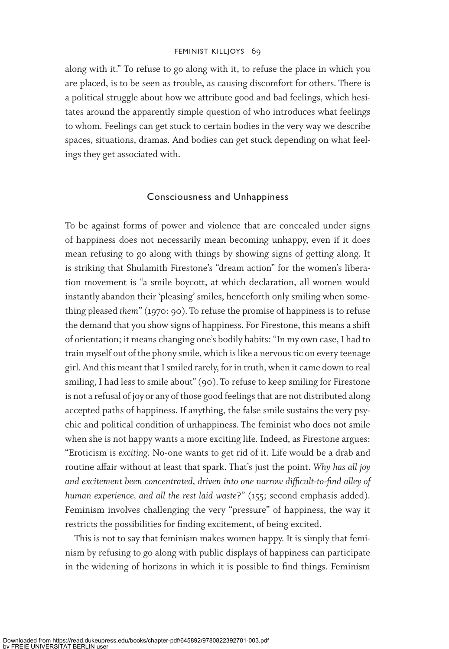along with it." To refuse to go along with it, to refuse the place in which you are placed, is to be seen as trouble, as causing discomfort for others. There is a political struggle about how we attribute good and bad feelings, which hesitates around the apparently simple question of who introduces what feelings to whom. Feelings can get stuck to certain bodies in the very way we describe spaces, situations, dramas. And bodies can get stuck depending on what feelings they get associated with.

# Consciousness and Unhappiness

To be against forms of power and violence that are concealed under signs of happiness does not necessarily mean becoming unhappy, even if it does mean refusing to go along with things by showing signs of getting along. It is striking that Shulamith Firestone's "dream action" for the women's liberation movement is "a smile boycott, at which declaration, all women would instantly abandon their 'pleasing' smiles, henceforth only smiling when something pleased *them*" (1970: 90). To refuse the promise of happiness is to refuse the demand that you show signs of happiness. For Firestone, this means a shift of orientation; it means changing one's bodily habits: "In my own case, I had to train myself out of the phony smile, which is like a nervous tic on every teenage girl. And this meant that I smiled rarely, for in truth, when it came down to real smiling, I had less to smile about" (90). To refuse to keep smiling for Firestone is not a refusal of joy or any of those good feelings that are not distributed along accepted paths of happiness. If anything, the false smile sustains the very psychic and political condition of unhappiness. The feminist who does not smile when she is not happy wants a more exciting life. Indeed, as Firestone argues: "Eroticism is *exciting*. No-one wants to get rid of it. Life would be a drab and routine affair without at least that spark. That's just the point. *Why has all joy and excitement been concentrated, driven into one narrow difficult-to-find alley of human experience, and all the rest laid waste*?" (155; second emphasis added). Feminism involves challenging the very "pressure" of happiness, the way it restricts the possibilities for finding excitement, of being excited.

This is not to say that feminism makes women happy. It is simply that feminism by refusing to go along with public displays of happiness can participate in the widening of horizons in which it is possible to find things. Feminism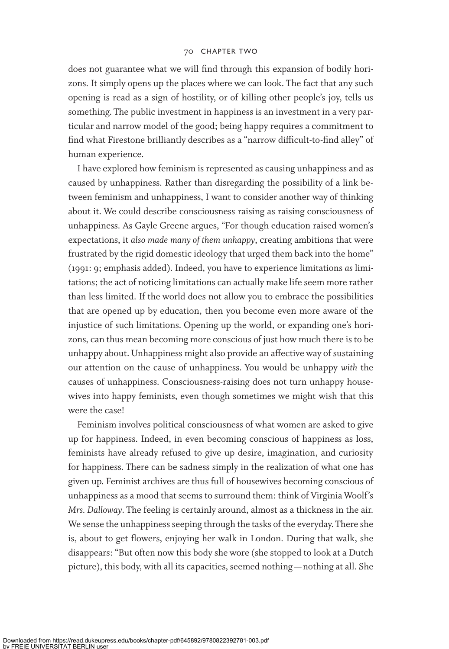does not guarantee what we will find through this expansion of bodily horizons. It simply opens up the places where we can look. The fact that any such opening is read as a sign of hostility, or of killing other people's joy, tells us something. The public investment in happiness is an investment in a very particular and narrow model of the good; being happy requires a commitment to find what Firestone brilliantly describes as a "narrow difficult-to-find alley" of human experience.

I have explored how feminism is represented as causing unhappiness and as caused by unhappiness. Rather than disregarding the possibility of a link between feminism and unhappiness, I want to consider another way of thinking about it. We could describe consciousness raising as raising consciousness of unhappiness. As Gayle Greene argues, "For though education raised women's expectations, it *also made many of them unhappy*, creating ambitions that were frustrated by the rigid domestic ideology that urged them back into the home" (1991: 9; emphasis added). Indeed, you have to experience limitations *as* limitations; the act of noticing limitations can actually make life seem more rather than less limited. If the world does not allow you to embrace the possibilities that are opened up by education, then you become even more aware of the injustice of such limitations. Opening up the world, or expanding one's horizons, can thus mean becoming more conscious of just how much there is to be unhappy about. Unhappiness might also provide an affective way of sustaining our attention on the cause of unhappiness. You would be unhappy *with* the causes of unhappiness. Consciousness-raising does not turn unhappy housewives into happy feminists, even though sometimes we might wish that this were the case!

Feminism involves political consciousness of what women are asked to give up for happiness. Indeed, in even becoming conscious of happiness as loss, feminists have already refused to give up desire, imagination, and curiosity for happiness. There can be sadness simply in the realization of what one has given up. Feminist archives are thus full of housewives becoming conscious of unhappiness as a mood that seems to surround them: think of Virginia Woolf's *Mrs. Dalloway*. The feeling is certainly around, almost as a thickness in the air. We sense the unhappiness seeping through the tasks of the everyday. There she is, about to get flowers, enjoying her walk in London. During that walk, she disappears: "But often now this body she wore (she stopped to look at a Dutch picture), this body, with all its capacities, seemed nothing—nothing at all. She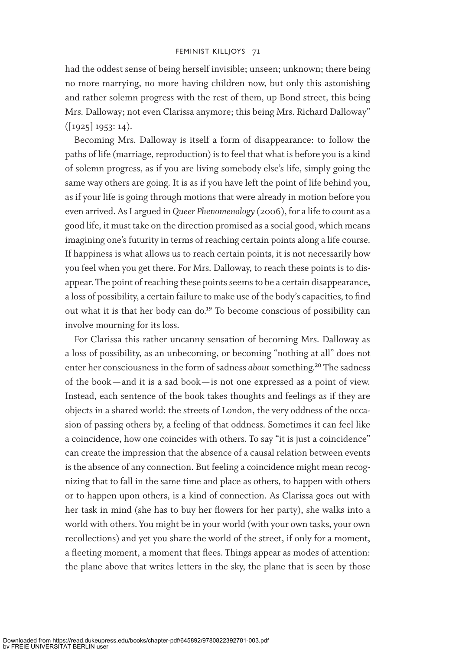## FEMINIST KILLJOYS 71

had the oddest sense of being herself invisible; unseen; unknown; there being no more marrying, no more having children now, but only this astonishing and rather solemn progress with the rest of them, up Bond street, this being Mrs. Dalloway; not even Clarissa anymore; this being Mrs. Richard Dalloway"  $([1925] 1953: 14).$ 

Becoming Mrs. Dalloway is itself a form of disappearance: to follow the paths of life (marriage, reproduction) is to feel that what is before you is a kind of solemn progress, as if you are living somebody else's life, simply going the same way others are going. It is as if you have left the point of life behind you, as if your life is going through motions that were already in motion before you even arrived. As I argued in *Queer Phenomenology* (2006), for a life to count as a good life, it must take on the direction promised as a social good, which means imagining one's futurity in terms of reaching certain points along a life course. If happiness is what allows us to reach certain points, it is not necessarily how you feel when you get there. For Mrs. Dalloway, to reach these points is to disappear. The point of reaching these points seems to be a certain disappearance, a loss of possibility, a certain failure to make use of the body's capacities, to find out what it is that her body can do.19 To become conscious of possibility can involve mourning for its loss.

For Clarissa this rather uncanny sensation of becoming Mrs. Dalloway as a loss of possibility, as an unbecoming, or becoming "nothing at all" does not enter her consciousness in the form of sadness *about* something.20 The sadness of the book—and it is a sad book—is not one expressed as a point of view. Instead, each sentence of the book takes thoughts and feelings as if they are objects in a shared world: the streets of London, the very oddness of the occasion of passing others by, a feeling of that oddness. Sometimes it can feel like a coincidence, how one coincides with others. To say "it is just a coincidence" can create the impression that the absence of a causal relation between events is the absence of any connection. But feeling a coincidence might mean recognizing that to fall in the same time and place as others, to happen with others or to happen upon others, is a kind of connection. As Clarissa goes out with her task in mind (she has to buy her flowers for her party), she walks into a world with others. You might be in your world (with your own tasks, your own recollections) and yet you share the world of the street, if only for a moment, a fleeting moment, a moment that flees. Things appear as modes of attention: the plane above that writes letters in the sky, the plane that is seen by those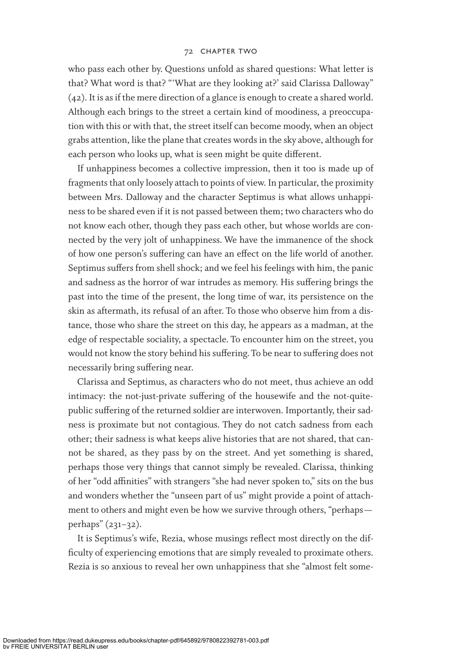who pass each other by. Questions unfold as shared questions: What letter is that? What word is that? "'What are they looking at?' said Clarissa Dalloway" (42). It is as if the mere direction of a glance is enough to create a shared world. Although each brings to the street a certain kind of moodiness, a preoccupation with this or with that, the street itself can become moody, when an object grabs attention, like the plane that creates words in the sky above, although for each person who looks up, what is seen might be quite different.

If unhappiness becomes a collective impression, then it too is made up of fragments that only loosely attach to points of view. In particular, the proximity between Mrs. Dalloway and the character Septimus is what allows unhappiness to be shared even if it is not passed between them; two characters who do not know each other, though they pass each other, but whose worlds are connected by the very jolt of unhappiness. We have the immanence of the shock of how one person's suffering can have an effect on the life world of another. Septimus suffers from shell shock; and we feel his feelings with him, the panic and sadness as the horror of war intrudes as memory. His suffering brings the past into the time of the present, the long time of war, its persistence on the skin as aftermath, its refusal of an after. To those who observe him from a distance, those who share the street on this day, he appears as a madman, at the edge of respectable sociality, a spectacle. To encounter him on the street, you would not know the story behind his suffering. To be near to suffering does not necessarily bring suffering near.

Clarissa and Septimus, as characters who do not meet, thus achieve an odd intimacy: the not-just-private suffering of the housewife and the not-quitepublic suffering of the returned soldier are interwoven. Importantly, their sadness is proximate but not contagious. They do not catch sadness from each other; their sadness is what keeps alive histories that are not shared, that cannot be shared, as they pass by on the street. And yet something is shared, perhaps those very things that cannot simply be revealed. Clarissa, thinking of her "odd affinities" with strangers "she had never spoken to," sits on the bus and wonders whether the "unseen part of us" might provide a point of attachment to others and might even be how we survive through others, "perhaps perhaps" (231–32).

It is Septimus's wife, Rezia, whose musings reflect most directly on the difficulty of experiencing emotions that are simply revealed to proximate others. Rezia is so anxious to reveal her own unhappiness that she "almost felt some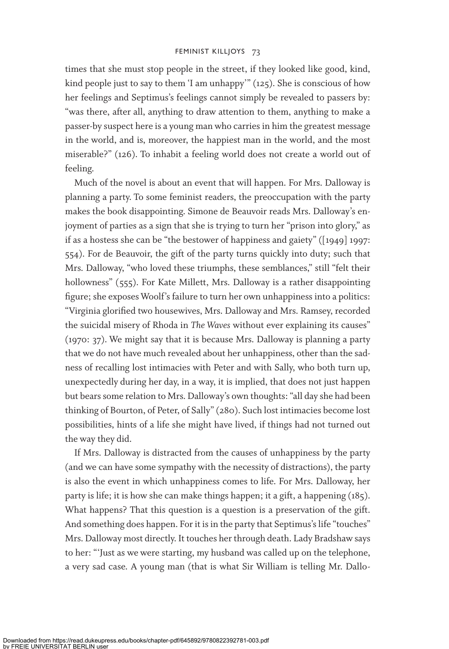times that she must stop people in the street, if they looked like good, kind, kind people just to say to them 'I am unhappy'" (125). She is conscious of how her feelings and Septimus's feelings cannot simply be revealed to passers by: "was there, after all, anything to draw attention to them, anything to make a passer-by suspect here is a young man who carries in him the greatest message in the world, and is, moreover, the happiest man in the world, and the most miserable?" (126). To inhabit a feeling world does not create a world out of feeling.

Much of the novel is about an event that will happen. For Mrs. Dalloway is planning a party. To some feminist readers, the preoccupation with the party makes the book disappointing. Simone de Beauvoir reads Mrs. Dalloway's enjoyment of parties as a sign that she is trying to turn her "prison into glory," as if as a hostess she can be "the bestower of happiness and gaiety" ([1949] 1997: 554). For de Beauvoir, the gift of the party turns quickly into duty; such that Mrs. Dalloway, "who loved these triumphs, these semblances," still "felt their hollowness" (555). For Kate Millett, Mrs. Dalloway is a rather disappointing figure; she exposes Woolf's failure to turn her own unhappiness into a politics: "Virginia glorified two housewives, Mrs. Dalloway and Mrs. Ramsey, recorded the suicidal misery of Rhoda in *The Waves* without ever explaining its causes" (1970: 37). We might say that it is because Mrs. Dalloway is planning a party that we do not have much revealed about her unhappiness, other than the sadness of recalling lost intimacies with Peter and with Sally, who both turn up, unexpectedly during her day, in a way, it is implied, that does not just happen but bears some relation to Mrs. Dalloway's own thoughts: "all day she had been thinking of Bourton, of Peter, of Sally" (280). Such lost intimacies become lost possibilities, hints of a life she might have lived, if things had not turned out the way they did.

If Mrs. Dalloway is distracted from the causes of unhappiness by the party (and we can have some sympathy with the necessity of distractions), the party is also the event in which unhappiness comes to life. For Mrs. Dalloway, her party is life; it is how she can make things happen; it a gift, a happening (185). What happens? That this question is a question is a preservation of the gift. And something does happen. For it is in the party that Septimus's life "touches" Mrs. Dalloway most directly. It touches her through death. Lady Bradshaw says to her: "'Just as we were starting, my husband was called up on the telephone, a very sad case. A young man (that is what Sir William is telling Mr. Dallo-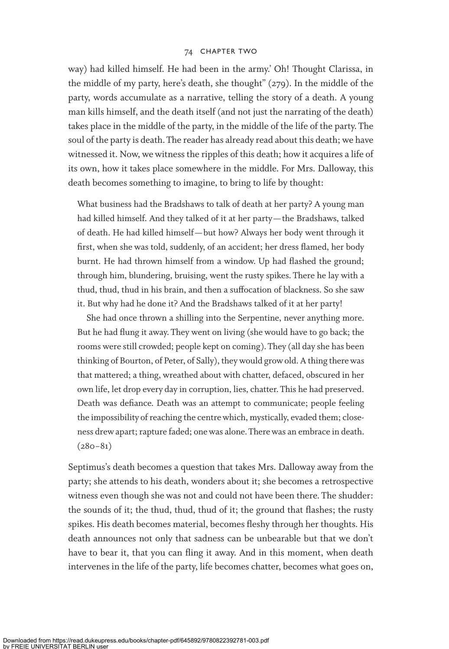way) had killed himself. He had been in the army.' Oh! Thought Clarissa, in the middle of my party, here's death, she thought" (279). In the middle of the party, words accumulate as a narrative, telling the story of a death. A young man kills himself, and the death itself (and not just the narrating of the death) takes place in the middle of the party, in the middle of the life of the party. The soul of the party is death. The reader has already read about this death; we have witnessed it. Now, we witness the ripples of this death; how it acquires a life of its own, how it takes place somewhere in the middle. For Mrs. Dalloway, this death becomes something to imagine, to bring to life by thought:

What business had the Bradshaws to talk of death at her party? A young man had killed himself. And they talked of it at her party—the Bradshaws, talked of death. He had killed himself—but how? Always her body went through it first, when she was told, suddenly, of an accident; her dress flamed, her body burnt. He had thrown himself from a window. Up had flashed the ground; through him, blundering, bruising, went the rusty spikes. There he lay with a thud, thud, thud in his brain, and then a suffocation of blackness. So she saw it. But why had he done it? And the Bradshaws talked of it at her party!

She had once thrown a shilling into the Serpentine, never anything more. But he had flung it away. They went on living (she would have to go back; the rooms were still crowded; people kept on coming). They (all day she has been thinking of Bourton, of Peter, of Sally), they would grow old. A thing there was that mattered; a thing, wreathed about with chatter, defaced, obscured in her own life, let drop every day in corruption, lies, chatter. This he had preserved. Death was defiance. Death was an attempt to communicate; people feeling the impossibility of reaching the centre which, mystically, evaded them; closeness drew apart; rapture faded; one was alone. There was an embrace in death.  $(280 - 81)$ 

Septimus's death becomes a question that takes Mrs. Dalloway away from the party; she attends to his death, wonders about it; she becomes a retrospective witness even though she was not and could not have been there. The shudder: the sounds of it; the thud, thud, thud of it; the ground that flashes; the rusty spikes. His death becomes material, becomes fleshy through her thoughts. His death announces not only that sadness can be unbearable but that we don't have to bear it, that you can fling it away. And in this moment, when death intervenes in the life of the party, life becomes chatter, becomes what goes on,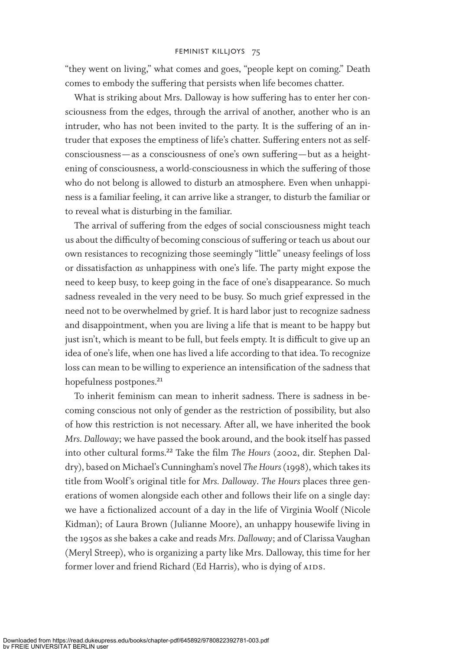"they went on living," what comes and goes, "people kept on coming." Death comes to embody the suffering that persists when life becomes chatter.

What is striking about Mrs. Dalloway is how suffering has to enter her consciousness from the edges, through the arrival of another, another who is an intruder, who has not been invited to the party. It is the suffering of an intruder that exposes the emptiness of life's chatter. Suffering enters not as selfconsciousness—as a consciousness of one's own suffering—but as a heightening of consciousness, a world-consciousness in which the suffering of those who do not belong is allowed to disturb an atmosphere. Even when unhappiness is a familiar feeling, it can arrive like a stranger, to disturb the familiar or to reveal what is disturbing in the familiar.

The arrival of suffering from the edges of social consciousness might teach us about the difficulty of becoming conscious of suffering or teach us about our own resistances to recognizing those seemingly "little" uneasy feelings of loss or dissatisfaction *as* unhappiness with one's life. The party might expose the need to keep busy, to keep going in the face of one's disappearance. So much sadness revealed in the very need to be busy. So much grief expressed in the need not to be overwhelmed by grief. It is hard labor just to recognize sadness and disappointment, when you are living a life that is meant to be happy but just isn't, which is meant to be full, but feels empty. It is difficult to give up an idea of one's life, when one has lived a life according to that idea. To recognize loss can mean to be willing to experience an intensification of the sadness that hopefulness postpones.<sup>21</sup>

To inherit feminism can mean to inherit sadness. There is sadness in becoming conscious not only of gender as the restriction of possibility, but also of how this restriction is not necessary. After all, we have inherited the book *Mrs. Dalloway*; we have passed the book around, and the book itself has passed into other cultural forms.22 Take the film *The Hours* (2002, dir. Stephen Daldry), based on Michael's Cunningham's novel *The Hours* (1998), which takes its title from Woolf's original title for *Mrs. Dalloway*. *The Hours* places three generations of women alongside each other and follows their life on a single day: we have a fictionalized account of a day in the life of Virginia Woolf (Nicole Kidman); of Laura Brown (Julianne Moore), an unhappy housewife living in the 1950s as she bakes a cake and reads *Mrs. Dalloway*; and of Clarissa Vaughan (Meryl Streep), who is organizing a party like Mrs. Dalloway, this time for her former lover and friend Richard (Ed Harris), who is dying of AIDS .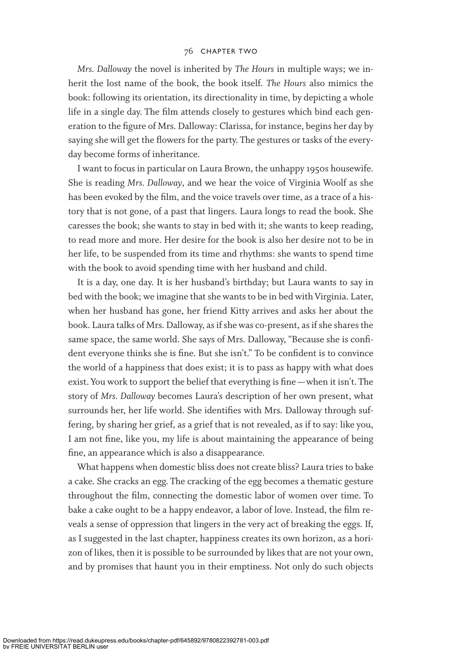*Mrs. Dalloway* the novel is inherited by *The Hours* in multiple ways; we inherit the lost name of the book, the book itself. *The Hours* also mimics the book: following its orientation, its directionality in time, by depicting a whole life in a single day. The film attends closely to gestures which bind each generation to the figure of Mrs. Dalloway: Clarissa, for instance, begins her day by saying she will get the flowers for the party. The gestures or tasks of the everyday become forms of inheritance.

I want to focus in particular on Laura Brown, the unhappy 1950s housewife. She is reading *Mrs. Dalloway*, and we hear the voice of Virginia Woolf as she has been evoked by the film, and the voice travels over time, as a trace of a history that is not gone, of a past that lingers. Laura longs to read the book. She caresses the book; she wants to stay in bed with it; she wants to keep reading, to read more and more. Her desire for the book is also her desire not to be in her life, to be suspended from its time and rhythms: she wants to spend time with the book to avoid spending time with her husband and child.

It is a day, one day. It is her husband's birthday; but Laura wants to say in bed with the book; we imagine that she wants to be in bed with Virginia. Later, when her husband has gone, her friend Kitty arrives and asks her about the book. Laura talks of Mrs. Dalloway, as if she was co-present, as if she shares the same space, the same world. She says of Mrs. Dalloway, "Because she is confident everyone thinks she is fine. But she isn't." To be confident is to convince the world of a happiness that does exist; it is to pass as happy with what does exist. You work to support the belief that everything is fine—when it isn't. The story of *Mrs. Dalloway* becomes Laura's description of her own present, what surrounds her, her life world. She identifies with Mrs. Dalloway through suffering, by sharing her grief, as a grief that is not revealed, as if to say: like you, I am not fine, like you, my life is about maintaining the appearance of being fine, an appearance which is also a disappearance.

What happens when domestic bliss does not create bliss? Laura tries to bake a cake. She cracks an egg. The cracking of the egg becomes a thematic gesture throughout the film, connecting the domestic labor of women over time. To bake a cake ought to be a happy endeavor, a labor of love. Instead, the film reveals a sense of oppression that lingers in the very act of breaking the eggs. If, as I suggested in the last chapter, happiness creates its own horizon, as a horizon of likes, then it is possible to be surrounded by likes that are not your own, and by promises that haunt you in their emptiness. Not only do such objects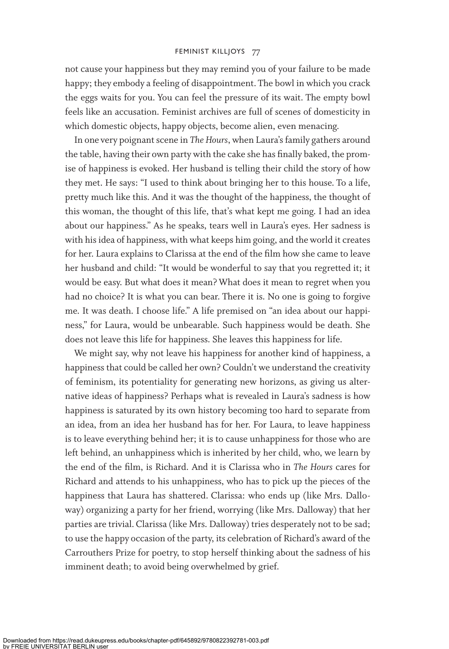## FEMINIST KILLJOYS 77

not cause your happiness but they may remind you of your failure to be made happy; they embody a feeling of disappointment. The bowl in which you crack the eggs waits for you. You can feel the pressure of its wait. The empty bowl feels like an accusation. Feminist archives are full of scenes of domesticity in which domestic objects, happy objects, become alien, even menacing.

In one very poignant scene in *The Hours*, when Laura's family gathers around the table, having their own party with the cake she has finally baked, the promise of happiness is evoked. Her husband is telling their child the story of how they met. He says: "I used to think about bringing her to this house. To a life, pretty much like this. And it was the thought of the happiness, the thought of this woman, the thought of this life, that's what kept me going. I had an idea about our happiness." As he speaks, tears well in Laura's eyes. Her sadness is with his idea of happiness, with what keeps him going, and the world it creates for her. Laura explains to Clarissa at the end of the film how she came to leave her husband and child: "It would be wonderful to say that you regretted it; it would be easy. But what does it mean? What does it mean to regret when you had no choice? It is what you can bear. There it is. No one is going to forgive me. It was death. I choose life." A life premised on "an idea about our happiness," for Laura, would be unbearable. Such happiness would be death. She does not leave this life for happiness. She leaves this happiness for life.

We might say, why not leave his happiness for another kind of happiness, a happiness that could be called her own? Couldn't we understand the creativity of feminism, its potentiality for generating new horizons, as giving us alternative ideas of happiness? Perhaps what is revealed in Laura's sadness is how happiness is saturated by its own history becoming too hard to separate from an idea, from an idea her husband has for her. For Laura, to leave happiness is to leave everything behind her; it is to cause unhappiness for those who are left behind, an unhappiness which is inherited by her child, who, we learn by the end of the film, is Richard. And it is Clarissa who in *The Hours* cares for Richard and attends to his unhappiness, who has to pick up the pieces of the happiness that Laura has shattered. Clarissa: who ends up (like Mrs. Dalloway) organizing a party for her friend, worrying (like Mrs. Dalloway) that her parties are trivial. Clarissa (like Mrs. Dalloway) tries desperately not to be sad; to use the happy occasion of the party, its celebration of Richard's award of the Carrouthers Prize for poetry, to stop herself thinking about the sadness of his imminent death; to avoid being overwhelmed by grief.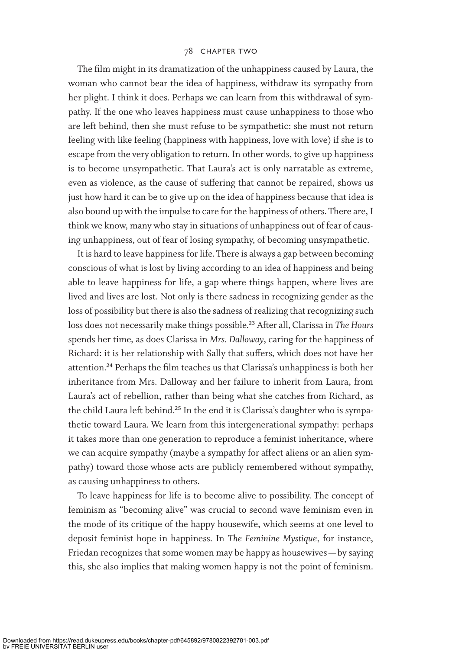The film might in its dramatization of the unhappiness caused by Laura, the woman who cannot bear the idea of happiness, withdraw its sympathy from her plight. I think it does. Perhaps we can learn from this withdrawal of sympathy. If the one who leaves happiness must cause unhappiness to those who are left behind, then she must refuse to be sympathetic: she must not return feeling with like feeling (happiness with happiness, love with love) if she is to escape from the very obligation to return. In other words, to give up happiness is to become unsympathetic. That Laura's act is only narratable as extreme, even as violence, as the cause of suffering that cannot be repaired, shows us just how hard it can be to give up on the idea of happiness because that idea is also bound up with the impulse to care for the happiness of others. There are, I think we know, many who stay in situations of unhappiness out of fear of causing unhappiness, out of fear of losing sympathy, of becoming unsympathetic.

It is hard to leave happiness for life. There is always a gap between becoming conscious of what is lost by living according to an idea of happiness and being able to leave happiness for life, a gap where things happen, where lives are lived and lives are lost. Not only is there sadness in recognizing gender as the loss of possibility but there is also the sadness of realizing that recognizing such loss does not necessarily make things possible.23 After all, Clarissa in *The Hours* spends her time, as does Clarissa in *Mrs. Dalloway*, caring for the happiness of Richard: it is her relationship with Sally that suffers, which does not have her attention.24 Perhaps the film teaches us that Clarissa's unhappiness is both her inheritance from Mrs. Dalloway and her failure to inherit from Laura, from Laura's act of rebellion, rather than being what she catches from Richard, as the child Laura left behind.<sup>25</sup> In the end it is Clarissa's daughter who is sympathetic toward Laura. We learn from this intergenerational sympathy: perhaps it takes more than one generation to reproduce a feminist inheritance, where we can acquire sympathy (maybe a sympathy for affect aliens or an alien sympathy) toward those whose acts are publicly remembered without sympathy, as causing unhappiness to others.

To leave happiness for life is to become alive to possibility. The concept of feminism as "becoming alive" was crucial to second wave feminism even in the mode of its critique of the happy housewife, which seems at one level to deposit feminist hope in happiness. In *The Feminine Mystique*, for instance, Friedan recognizes that some women may be happy as housewives—by saying this, she also implies that making women happy is not the point of feminism.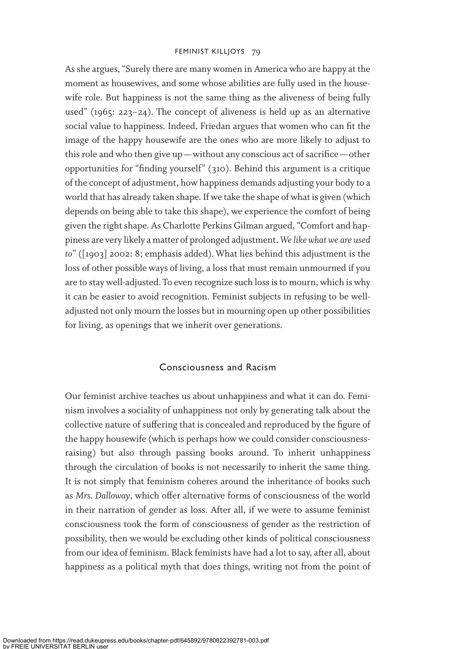## FEMINIST KILLJOYS 79

As she argues, "Surely there are many women in America who are happy at the moment as housewives, and some whose abilities are fully used in the housewife role. But happiness is not the same thing as the aliveness of being fully used" (1965: 223–24). The concept of aliveness is held up as an alternative social value to happiness. Indeed, Friedan argues that women who can fit the image of the happy housewife are the ones who are more likely to adjust to this role and who then give up—without any conscious act of sacrifice—other opportunities for "finding yourself" (310). Behind this argument is a critique of the concept of adjustment, how happiness demands adjusting your body to a world that has already taken shape. If we take the shape of what is given (which depends on being able to take this shape), we experience the comfort of being given the right shape. As Charlotte Perkins Gilman argued, "Comfort and happiness are very likely a matter of prolonged adjustment. *We like what we are used to*" ([1903] 2002: 8; emphasis added). What lies behind this adjustment is the loss of other possible ways of living, a loss that must remain unmourned if you are to stay well-adjusted. To even recognize such loss is to mourn, which is why it can be easier to avoid recognition. Feminist subjects in refusing to be welladjusted not only mourn the losses but in mourning open up other possibilities for living, as openings that we inherit over generations.

# Consciousness and Racism

Our feminist archive teaches us about unhappiness and what it can do. Feminism involves a sociality of unhappiness not only by generating talk about the collective nature of suffering that is concealed and reproduced by the figure of the happy housewife (which is perhaps how we could consider consciousnessraising) but also through passing books around. To inherit unhappiness through the circulation of books is not necessarily to inherit the same thing. It is not simply that feminism coheres around the inheritance of books such as *Mrs. Dalloway*, which offer alternative forms of consciousness of the world in their narration of gender as loss. After all, if we were to assume feminist consciousness took the form of consciousness of gender as the restriction of possibility, then we would be excluding other kinds of political consciousness from our idea of feminism. Black feminists have had a lot to say, after all, about happiness as a political myth that does things, writing not from the point of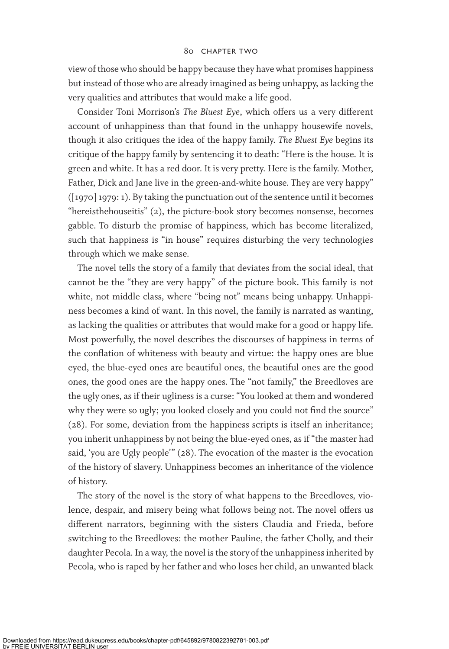view of those who should be happy because they have what promises happiness but instead of those who are already imagined as being unhappy, as lacking the very qualities and attributes that would make a life good.

Consider Toni Morrison's *The Bluest Eye*, which offers us a very different account of unhappiness than that found in the unhappy housewife novels, though it also critiques the idea of the happy family. *The Bluest Eye* begins its critique of the happy family by sentencing it to death: "Here is the house. It is green and white. It has a red door. It is very pretty. Here is the family. Mother, Father, Dick and Jane live in the green-and-white house. They are very happy" ([1970] 1979: 1). By taking the punctuation out of the sentence until it becomes "hereisthehouseitis" (2), the picture-book story becomes nonsense, becomes gabble. To disturb the promise of happiness, which has become literalized, such that happiness is "in house" requires disturbing the very technologies through which we make sense.

The novel tells the story of a family that deviates from the social ideal, that cannot be the "they are very happy" of the picture book. This family is not white, not middle class, where "being not" means being unhappy. Unhappiness becomes a kind of want. In this novel, the family is narrated as wanting, as lacking the qualities or attributes that would make for a good or happy life. Most powerfully, the novel describes the discourses of happiness in terms of the conflation of whiteness with beauty and virtue: the happy ones are blue eyed, the blue-eyed ones are beautiful ones, the beautiful ones are the good ones, the good ones are the happy ones. The "not family," the Breedloves are the ugly ones, as if their ugliness is a curse: "You looked at them and wondered why they were so ugly; you looked closely and you could not find the source" (28). For some, deviation from the happiness scripts is itself an inheritance; you inherit unhappiness by not being the blue-eyed ones, as if "the master had said, 'you are Ugly people'" (28). The evocation of the master is the evocation of the history of slavery. Unhappiness becomes an inheritance of the violence of history.

The story of the novel is the story of what happens to the Breedloves, violence, despair, and misery being what follows being not. The novel offers us different narrators, beginning with the sisters Claudia and Frieda, before switching to the Breedloves: the mother Pauline, the father Cholly, and their daughter Pecola. In a way, the novel is the story of the unhappiness inherited by Pecola, who is raped by her father and who loses her child, an unwanted black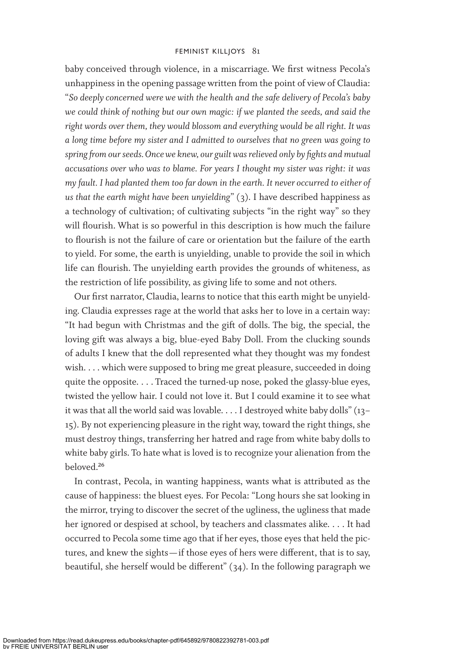# FEMINIST KILLJOYS 81

baby conceived through violence, in a miscarriage. We first witness Pecola's unhappiness in the opening passage written from the point of view of Claudia: "*So deeply concerned were we with the health and the safe delivery of Pecola's baby we could think of nothing but our own magic: if we planted the seeds, and said the right words over them, they would blossom and everything would be all right. It was a long time before my sister and I admitted to ourselves that no green was going to spring from our seeds. Once we knew, our guilt was relieved only by fights and mutual accusations over who was to blame. For years I thought my sister was right: it was my fault. I had planted them too far down in the earth. It never occurred to either of us that the earth might have been unyielding*" (3). I have described happiness as a technology of cultivation; of cultivating subjects "in the right way" so they will flourish. What is so powerful in this description is how much the failure to flourish is not the failure of care or orientation but the failure of the earth to yield. For some, the earth is unyielding, unable to provide the soil in which life can flourish. The unyielding earth provides the grounds of whiteness, as the restriction of life possibility, as giving life to some and not others.

Our first narrator, Claudia, learns to notice that this earth might be unyielding. Claudia expresses rage at the world that asks her to love in a certain way: "It had begun with Christmas and the gift of dolls. The big, the special, the loving gift was always a big, blue-eyed Baby Doll. From the clucking sounds of adults I knew that the doll represented what they thought was my fondest wish. . . . which were supposed to bring me great pleasure, succeeded in doing quite the opposite. . . . Traced the turned-up nose, poked the glassy-blue eyes, twisted the yellow hair. I could not love it. But I could examine it to see what it was that all the world said was lovable. . . . I destroyed white baby dolls" (13– 15). By not experiencing pleasure in the right way, toward the right things, she must destroy things, transferring her hatred and rage from white baby dolls to white baby girls. To hate what is loved is to recognize your alienation from the beloved.26

In contrast, Pecola, in wanting happiness, wants what is attributed as the cause of happiness: the bluest eyes. For Pecola: "Long hours she sat looking in the mirror, trying to discover the secret of the ugliness, the ugliness that made her ignored or despised at school, by teachers and classmates alike. . . . It had occurred to Pecola some time ago that if her eyes, those eyes that held the pictures, and knew the sights—if those eyes of hers were different, that is to say, beautiful, she herself would be different" (34). In the following paragraph we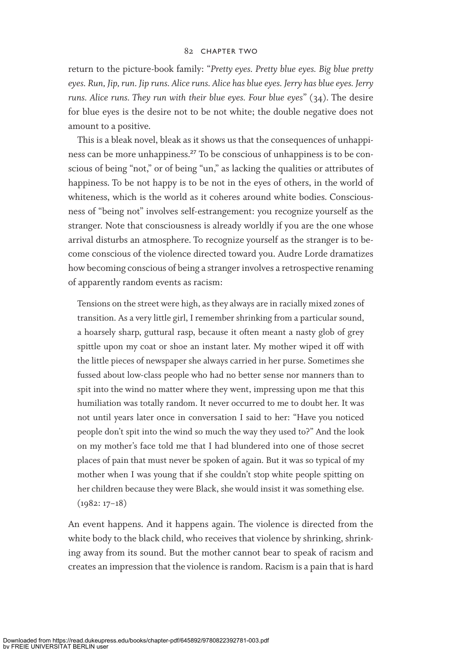return to the picture-book family: "*Pretty eyes. Pretty blue eyes. Big blue pretty eyes. Run, Jip, run. Jip runs. Alice runs. Alice has blue eyes. Jerry has blue eyes. Jerry runs. Alice runs. They run with their blue eyes. Four blue eyes"* (34). The desire for blue eyes is the desire not to be not white; the double negative does not amount to a positive.

This is a bleak novel, bleak as it shows us that the consequences of unhappiness can be more unhappiness.27 To be conscious of unhappiness is to be conscious of being "not," or of being "un," as lacking the qualities or attributes of happiness. To be not happy is to be not in the eyes of others, in the world of whiteness, which is the world as it coheres around white bodies. Consciousness of "being not" involves self-estrangement: you recognize yourself as the stranger. Note that consciousness is already worldly if you are the one whose arrival disturbs an atmosphere. To recognize yourself as the stranger is to become conscious of the violence directed toward you. Audre Lorde dramatizes how becoming conscious of being a stranger involves a retrospective renaming of apparently random events as racism:

Tensions on the street were high, as they always are in racially mixed zones of transition. As a very little girl, I remember shrinking from a particular sound, a hoarsely sharp, guttural rasp, because it often meant a nasty glob of grey spittle upon my coat or shoe an instant later. My mother wiped it off with the little pieces of newspaper she always carried in her purse. Sometimes she fussed about low-class people who had no better sense nor manners than to spit into the wind no matter where they went, impressing upon me that this humiliation was totally random. It never occurred to me to doubt her. It was not until years later once in conversation I said to her: "Have you noticed people don't spit into the wind so much the way they used to?" And the look on my mother's face told me that I had blundered into one of those secret places of pain that must never be spoken of again. But it was so typical of my mother when I was young that if she couldn't stop white people spitting on her children because they were Black, she would insist it was something else.  $(1982: 17-18)$ 

An event happens. And it happens again. The violence is directed from the white body to the black child, who receives that violence by shrinking, shrinking away from its sound. But the mother cannot bear to speak of racism and creates an impression that the violence is random. Racism is a pain that is hard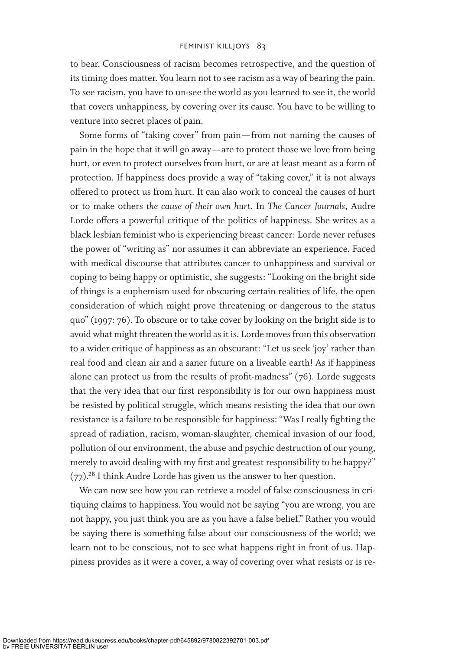# FEMINIST KILLJOYS 83

to bear. Consciousness of racism becomes retrospective, and the question of its timing does matter. You learn not to see racism as a way of bearing the pain. To see racism, you have to un-see the world as you learned to see it, the world that covers unhappiness, by covering over its cause. You have to be willing to venture into secret places of pain.

Some forms of "taking cover" from pain—from not naming the causes of pain in the hope that it will go away—are to protect those we love from being hurt, or even to protect ourselves from hurt, or are at least meant as a form of protection. If happiness does provide a way of "taking cover," it is not always offered to protect us from hurt. It can also work to conceal the causes of hurt or to make others *the cause of their own hurt*. In *The Cancer Journals*, Audre Lorde offers a powerful critique of the politics of happiness. She writes as a black lesbian feminist who is experiencing breast cancer: Lorde never refuses the power of "writing as" nor assumes it can abbreviate an experience. Faced with medical discourse that attributes cancer to unhappiness and survival or coping to being happy or optimistic, she suggests: "Looking on the bright side of things is a euphemism used for obscuring certain realities of life, the open consideration of which might prove threatening or dangerous to the status quo" (1997: 76). To obscure or to take cover by looking on the bright side is to avoid what might threaten the world as it is. Lorde moves from this observation to a wider critique of happiness as an obscurant: "Let us seek 'joy' rather than real food and clean air and a saner future on a liveable earth! As if happiness alone can protect us from the results of profit-madness" (76). Lorde suggests that the very idea that our first responsibility is for our own happiness must be resisted by political struggle, which means resisting the idea that our own resistance is a failure to be responsible for happiness: "Was I really fighting the spread of radiation, racism, woman-slaughter, chemical invasion of our food, pollution of our environment, the abuse and psychic destruction of our young, merely to avoid dealing with my first and greatest responsibility to be happy?" (77).28 I think Audre Lorde has given us the answer to her question.

We can now see how you can retrieve a model of false consciousness in critiquing claims to happiness. You would not be saying "you are wrong, you are not happy, you just think you are as you have a false belief." Rather you would be saying there is something false about our consciousness of the world; we learn not to be conscious, not to see what happens right in front of us. Happiness provides as it were a cover, a way of covering over what resists or is re-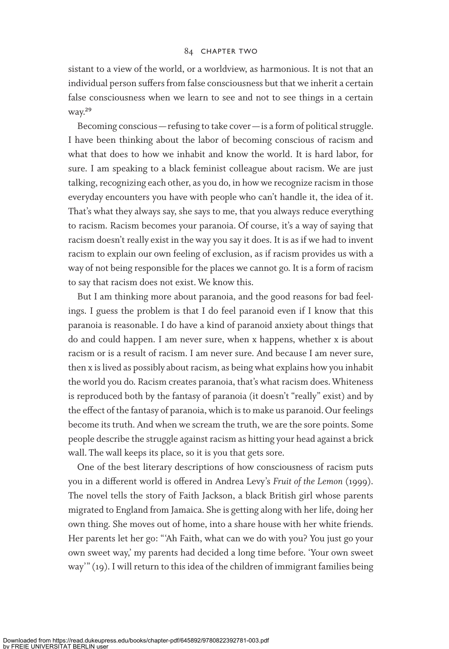sistant to a view of the world, or a worldview, as harmonious. It is not that an individual person suffers from false consciousness but that we inherit a certain false consciousness when we learn to see and not to see things in a certain way.29

Becoming conscious—refusing to take cover—is a form of political struggle. I have been thinking about the labor of becoming conscious of racism and what that does to how we inhabit and know the world. It is hard labor, for sure. I am speaking to a black feminist colleague about racism. We are just talking, recognizing each other, as you do, in how we recognize racism in those everyday encounters you have with people who can't handle it, the idea of it. That's what they always say, she says to me, that you always reduce everything to racism. Racism becomes your paranoia. Of course, it's a way of saying that racism doesn't really exist in the way you say it does. It is as if we had to invent racism to explain our own feeling of exclusion, as if racism provides us with a way of not being responsible for the places we cannot go. It is a form of racism to say that racism does not exist. We know this.

But I am thinking more about paranoia, and the good reasons for bad feelings. I guess the problem is that I do feel paranoid even if I know that this paranoia is reasonable. I do have a kind of paranoid anxiety about things that do and could happen. I am never sure, when x happens, whether x is about racism or is a result of racism. I am never sure. And because I am never sure, then x is lived as possibly about racism, as being what explains how you inhabit the world you do. Racism creates paranoia, that's what racism does. Whiteness is reproduced both by the fantasy of paranoia (it doesn't "really" exist) and by the effect of the fantasy of paranoia, which is to make us paranoid. Our feelings become its truth. And when we scream the truth, we are the sore points. Some people describe the struggle against racism as hitting your head against a brick wall. The wall keeps its place, so it is you that gets sore.

One of the best literary descriptions of how consciousness of racism puts you in a different world is offered in Andrea Levy's *Fruit of the Lemon* (1999). The novel tells the story of Faith Jackson, a black British girl whose parents migrated to England from Jamaica. She is getting along with her life, doing her own thing. She moves out of home, into a share house with her white friends. Her parents let her go: "'Ah Faith, what can we do with you? You just go your own sweet way,' my parents had decided a long time before. 'Your own sweet way'" (19). I will return to this idea of the children of immigrant families being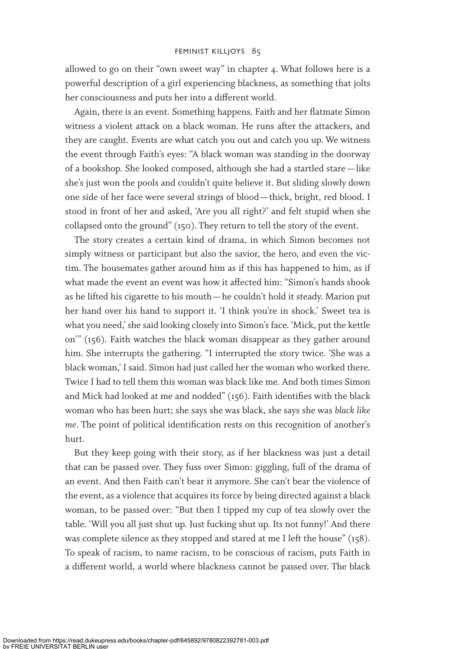allowed to go on their "own sweet way" in chapter 4. What follows here is a powerful description of a girl experiencing blackness, as something that jolts her consciousness and puts her into a different world.

Again, there is an event. Something happens. Faith and her flatmate Simon witness a violent attack on a black woman. He runs after the attackers, and they are caught. Events are what catch you out and catch you up. We witness the event through Faith's eyes: "A black woman was standing in the doorway of a bookshop. She looked composed, although she had a startled stare—like she's just won the pools and couldn't quite believe it. But sliding slowly down one side of her face were several strings of blood—thick, bright, red blood. I stood in front of her and asked, 'Are you all right?' and felt stupid when she collapsed onto the ground" (150). They return to tell the story of the event.

The story creates a certain kind of drama, in which Simon becomes not simply witness or participant but also the savior, the hero, and even the victim. The housemates gather around him as if this has happened to him, as if what made the event an event was how it affected him: "Simon's hands shook as he lifted his cigarette to his mouth—he couldn't hold it steady. Marion put her hand over his hand to support it. 'I think you're in shock.' Sweet tea is what you need,' she said looking closely into Simon's face. 'Mick, put the kettle on'" (156). Faith watches the black woman disappear as they gather around him. She interrupts the gathering. "I interrupted the story twice. 'She was a black woman,' I said. Simon had just called her the woman who worked there. Twice I had to tell them this woman was black like me. And both times Simon and Mick had looked at me and nodded" (156). Faith identifies with the black woman who has been hurt; she says she was black, she says she was *black like me*. The point of political identification rests on this recognition of another's hurt.

But they keep going with their story, as if her blackness was just a detail that can be passed over. They fuss over Simon: giggling, full of the drama of an event. And then Faith can't bear it anymore. She can't bear the violence of the event, as a violence that acquires its force by being directed against a black woman, to be passed over: "But then I tipped my cup of tea slowly over the table. 'Will you all just shut up. Just fucking shut up. Its not funny!' And there was complete silence as they stopped and stared at me I left the house" (158). To speak of racism, to name racism, to be conscious of racism, puts Faith in a different world, a world where blackness cannot be passed over. The black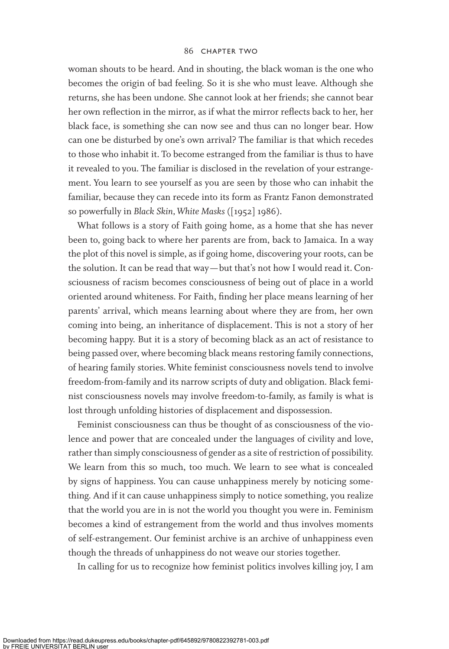woman shouts to be heard. And in shouting, the black woman is the one who becomes the origin of bad feeling. So it is she who must leave. Although she returns, she has been undone. She cannot look at her friends; she cannot bear her own reflection in the mirror, as if what the mirror reflects back to her, her black face, is something she can now see and thus can no longer bear. How can one be disturbed by one's own arrival? The familiar is that which recedes to those who inhabit it. To become estranged from the familiar is thus to have it revealed to you. The familiar is disclosed in the revelation of your estrangement. You learn to see yourself as you are seen by those who can inhabit the familiar, because they can recede into its form as Frantz Fanon demonstrated so powerfully in *Black Skin, White Masks* ([1952] 1986).

What follows is a story of Faith going home, as a home that she has never been to, going back to where her parents are from, back to Jamaica. In a way the plot of this novel is simple, as if going home, discovering your roots, can be the solution. It can be read that way—but that's not how I would read it. Consciousness of racism becomes consciousness of being out of place in a world oriented around whiteness. For Faith, finding her place means learning of her parents' arrival, which means learning about where they are from, her own coming into being, an inheritance of displacement. This is not a story of her becoming happy. But it is a story of becoming black as an act of resistance to being passed over, where becoming black means restoring family connections, of hearing family stories. White feminist consciousness novels tend to involve freedom-from-family and its narrow scripts of duty and obligation. Black feminist consciousness novels may involve freedom-to-family, as family is what is lost through unfolding histories of displacement and dispossession.

Feminist consciousness can thus be thought of as consciousness of the violence and power that are concealed under the languages of civility and love, rather than simply consciousness of gender as a site of restriction of possibility. We learn from this so much, too much. We learn to see what is concealed by signs of happiness. You can cause unhappiness merely by noticing something. And if it can cause unhappiness simply to notice something, you realize that the world you are in is not the world you thought you were in. Feminism becomes a kind of estrangement from the world and thus involves moments of self-estrangement. Our feminist archive is an archive of unhappiness even though the threads of unhappiness do not weave our stories together.

In calling for us to recognize how feminist politics involves killing joy, I am